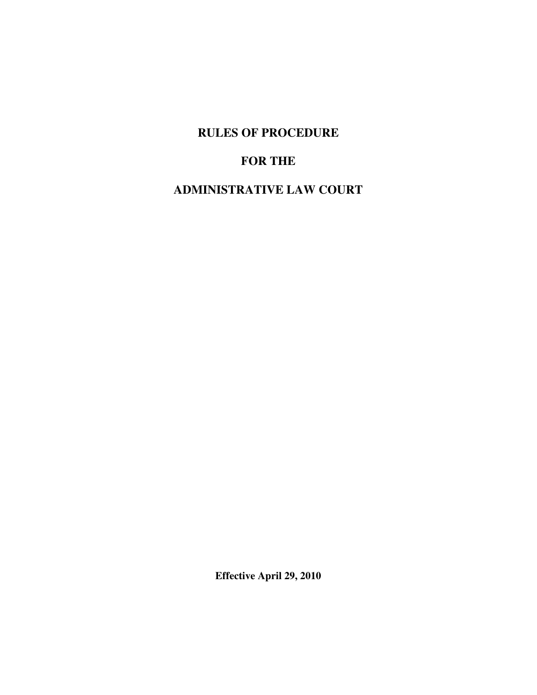**RULES OF PROCEDURE** 

# **FOR THE**

**ADMINISTRATIVE LAW COURT**

**Effective April 29, 2010**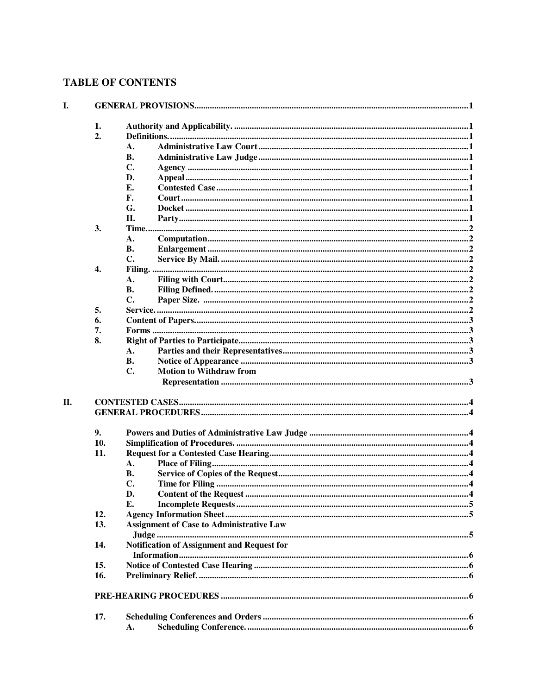# **TABLE OF CONTENTS**

| I.  |     |                                                 |                                            |  |  |  |
|-----|-----|-------------------------------------------------|--------------------------------------------|--|--|--|
|     | 1.  |                                                 |                                            |  |  |  |
|     | 2.  |                                                 |                                            |  |  |  |
|     |     | А.                                              |                                            |  |  |  |
|     |     | <b>B.</b>                                       |                                            |  |  |  |
|     |     | C.                                              |                                            |  |  |  |
|     |     | D.                                              |                                            |  |  |  |
|     |     | Е.                                              |                                            |  |  |  |
|     |     | F.                                              |                                            |  |  |  |
|     |     |                                                 |                                            |  |  |  |
|     |     | G.<br>H.                                        |                                            |  |  |  |
|     |     |                                                 |                                            |  |  |  |
|     | 3.  |                                                 |                                            |  |  |  |
|     |     | A.                                              |                                            |  |  |  |
|     |     | <b>B.</b>                                       |                                            |  |  |  |
|     |     | C.                                              |                                            |  |  |  |
|     | 4.  |                                                 |                                            |  |  |  |
|     |     | A.                                              |                                            |  |  |  |
|     |     | <b>B.</b>                                       |                                            |  |  |  |
|     |     | C.                                              |                                            |  |  |  |
|     | 5.  |                                                 |                                            |  |  |  |
|     | 6.  |                                                 |                                            |  |  |  |
|     | 7.  |                                                 |                                            |  |  |  |
|     | 8.  |                                                 |                                            |  |  |  |
|     |     | $\mathbf{A}$ .                                  |                                            |  |  |  |
|     |     | <b>B.</b>                                       |                                            |  |  |  |
|     |     | C.                                              | <b>Motion to Withdraw from</b>             |  |  |  |
|     |     |                                                 |                                            |  |  |  |
| II. |     |                                                 |                                            |  |  |  |
|     |     |                                                 |                                            |  |  |  |
|     | 9.  |                                                 |                                            |  |  |  |
|     | 10. |                                                 |                                            |  |  |  |
|     | 11. |                                                 |                                            |  |  |  |
|     |     |                                                 |                                            |  |  |  |
|     |     | А.                                              |                                            |  |  |  |
|     |     | В.                                              |                                            |  |  |  |
|     |     | C.                                              |                                            |  |  |  |
|     |     | D.                                              |                                            |  |  |  |
|     |     | Е.                                              |                                            |  |  |  |
|     | 12. |                                                 |                                            |  |  |  |
|     | 13. | <b>Assignment of Case to Administrative Law</b> |                                            |  |  |  |
|     |     |                                                 |                                            |  |  |  |
|     | 14. |                                                 | Notification of Assignment and Request for |  |  |  |
|     |     |                                                 |                                            |  |  |  |
|     | 15. |                                                 |                                            |  |  |  |
|     | 16. |                                                 |                                            |  |  |  |
|     |     |                                                 |                                            |  |  |  |
|     | 17. |                                                 |                                            |  |  |  |
|     |     | А.                                              |                                            |  |  |  |
|     |     |                                                 |                                            |  |  |  |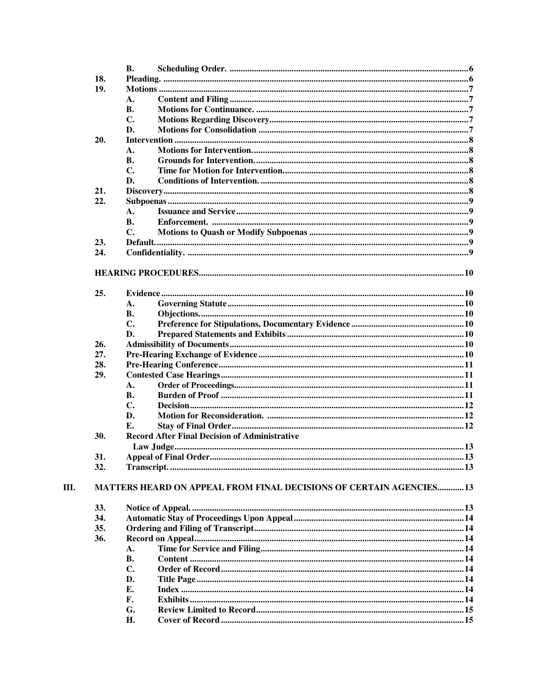|     | <b>B.</b>      |                                                                           |  |  |  |
|-----|----------------|---------------------------------------------------------------------------|--|--|--|
| 18. |                |                                                                           |  |  |  |
| 19. |                |                                                                           |  |  |  |
|     | $\mathbf{A}$ . |                                                                           |  |  |  |
|     | <b>B.</b>      |                                                                           |  |  |  |
|     | C.             |                                                                           |  |  |  |
|     | D.             |                                                                           |  |  |  |
| 20. |                |                                                                           |  |  |  |
|     | A.             |                                                                           |  |  |  |
|     | В.             |                                                                           |  |  |  |
|     | $\mathbf{C}$ . |                                                                           |  |  |  |
|     | D.             |                                                                           |  |  |  |
| 21. |                |                                                                           |  |  |  |
| 22. |                |                                                                           |  |  |  |
|     | A.             |                                                                           |  |  |  |
|     | <b>B.</b>      |                                                                           |  |  |  |
|     | C.             |                                                                           |  |  |  |
| 23. |                |                                                                           |  |  |  |
| 24. |                |                                                                           |  |  |  |
|     |                |                                                                           |  |  |  |
|     |                |                                                                           |  |  |  |
| 25. |                |                                                                           |  |  |  |
|     | А.             |                                                                           |  |  |  |
|     | В.             |                                                                           |  |  |  |
|     | $\mathbf{C}$ . |                                                                           |  |  |  |
|     | D.             |                                                                           |  |  |  |
| 26. |                |                                                                           |  |  |  |
| 27. |                |                                                                           |  |  |  |
| 28. |                |                                                                           |  |  |  |
| 29. |                |                                                                           |  |  |  |
|     | A.             |                                                                           |  |  |  |
|     | <b>B.</b>      |                                                                           |  |  |  |
|     |                |                                                                           |  |  |  |
|     | $C_{\bullet}$  |                                                                           |  |  |  |
|     | D.             |                                                                           |  |  |  |
|     | Е.             |                                                                           |  |  |  |
| 30. |                | <b>Record After Final Decision of Administrative</b>                      |  |  |  |
|     |                |                                                                           |  |  |  |
| 31. |                |                                                                           |  |  |  |
| 32. |                |                                                                           |  |  |  |
|     |                | <b>MATTERS HEARD ON APPEAL FROM FINAL DECISIONS OF CERTAIN AGENCIES13</b> |  |  |  |
| 33. |                |                                                                           |  |  |  |
| 34. |                |                                                                           |  |  |  |
| 35. |                |                                                                           |  |  |  |
| 36. |                |                                                                           |  |  |  |
|     | $\mathbf{A}$ . |                                                                           |  |  |  |
|     | В.             |                                                                           |  |  |  |
|     | C.             |                                                                           |  |  |  |
|     | D.             |                                                                           |  |  |  |
|     | Е.             |                                                                           |  |  |  |
|     | F.             |                                                                           |  |  |  |
|     | G.             |                                                                           |  |  |  |
|     | Η.             |                                                                           |  |  |  |
|     |                |                                                                           |  |  |  |

III.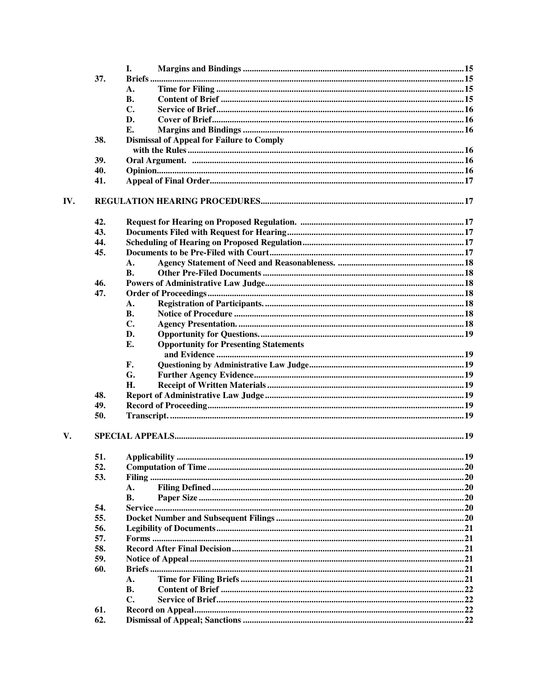|     |     | I.                                                 |     |  |  |  |
|-----|-----|----------------------------------------------------|-----|--|--|--|
|     | 37. |                                                    |     |  |  |  |
|     |     | А.                                                 |     |  |  |  |
|     |     | <b>B.</b>                                          |     |  |  |  |
|     |     | C.                                                 |     |  |  |  |
|     |     | D.                                                 |     |  |  |  |
|     |     | <b>E.</b>                                          |     |  |  |  |
|     | 38. | <b>Dismissal of Appeal for Failure to Comply</b>   |     |  |  |  |
|     |     |                                                    |     |  |  |  |
|     | 39. |                                                    |     |  |  |  |
|     | 40. |                                                    |     |  |  |  |
|     | 41. |                                                    |     |  |  |  |
| IV. |     |                                                    |     |  |  |  |
|     | 42. |                                                    |     |  |  |  |
|     | 43. |                                                    |     |  |  |  |
|     | 44. |                                                    |     |  |  |  |
|     | 45. |                                                    |     |  |  |  |
|     |     | A.                                                 |     |  |  |  |
|     |     | $\mathbf{B}$ .                                     |     |  |  |  |
|     | 46. |                                                    |     |  |  |  |
|     | 47. |                                                    |     |  |  |  |
|     |     | A.                                                 |     |  |  |  |
|     |     | В.                                                 |     |  |  |  |
|     |     | C.                                                 |     |  |  |  |
|     |     | D.                                                 |     |  |  |  |
|     |     | <b>Opportunity for Presenting Statements</b><br>E. |     |  |  |  |
|     |     |                                                    |     |  |  |  |
|     |     | F.                                                 |     |  |  |  |
|     |     | G.                                                 |     |  |  |  |
|     |     | H.                                                 |     |  |  |  |
|     | 48. |                                                    |     |  |  |  |
|     | 49. |                                                    |     |  |  |  |
|     | 50. |                                                    |     |  |  |  |
|     |     |                                                    |     |  |  |  |
| V.  |     |                                                    |     |  |  |  |
|     | 51. | <b>Applicability</b>                               | .19 |  |  |  |
|     | 52. |                                                    |     |  |  |  |
|     | 53. |                                                    |     |  |  |  |
|     |     | A.                                                 |     |  |  |  |
|     |     | В.                                                 |     |  |  |  |
|     | 54. |                                                    |     |  |  |  |
|     | 55. |                                                    |     |  |  |  |
|     | 56. |                                                    |     |  |  |  |
|     | 57. |                                                    |     |  |  |  |
|     | 58. |                                                    |     |  |  |  |
|     | 59. |                                                    |     |  |  |  |
|     | 60. |                                                    |     |  |  |  |
|     |     | A.                                                 |     |  |  |  |
|     |     | <b>B.</b>                                          |     |  |  |  |
|     |     | C.                                                 |     |  |  |  |
|     | 61. |                                                    |     |  |  |  |
|     | 62. |                                                    |     |  |  |  |
|     |     |                                                    |     |  |  |  |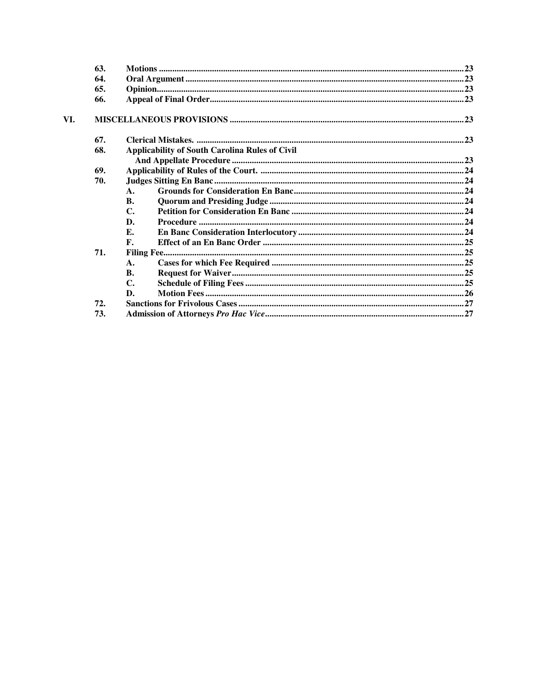|     | 63. |                                                |  |
|-----|-----|------------------------------------------------|--|
|     | 64. |                                                |  |
|     | 65. |                                                |  |
|     | 66. |                                                |  |
| VI. |     |                                                |  |
|     | 67. |                                                |  |
|     | 68. | Applicability of South Carolina Rules of Civil |  |
|     |     |                                                |  |
|     | 69. |                                                |  |
|     | 70. |                                                |  |
|     |     | A.                                             |  |
|     |     | <b>B.</b>                                      |  |
|     |     | С.                                             |  |
|     |     | D.                                             |  |
|     |     | E.                                             |  |
|     |     | F.                                             |  |
|     | 71. |                                                |  |
|     |     | A.                                             |  |
|     |     | В.                                             |  |
|     |     | C.                                             |  |
|     |     | D.                                             |  |
|     | 72. |                                                |  |
|     | 73. |                                                |  |
|     |     |                                                |  |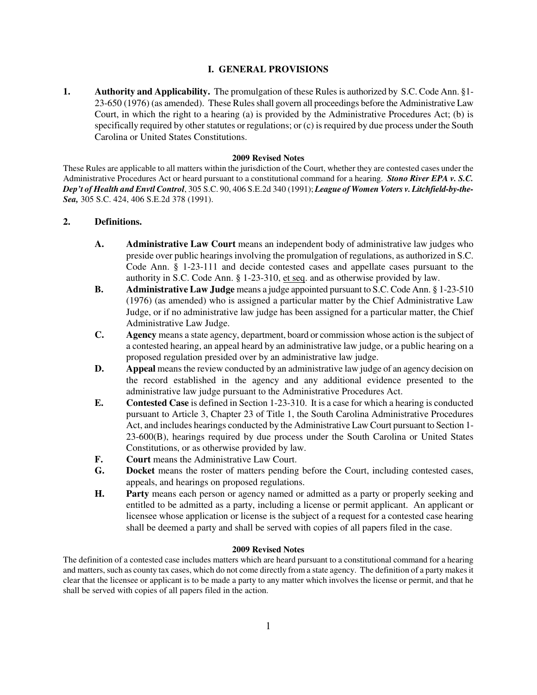### **I. GENERAL PROVISIONS**

**1. Authority and Applicability.** The promulgation of these Rules is authorized by S.C. Code Ann. §1- 23-650 (1976) (as amended). These Rules shall govern all proceedings before the Administrative Law Court, in which the right to a hearing (a) is provided by the Administrative Procedures Act; (b) is specifically required by other statutes or regulations; or (c) is required by due process under the South Carolina or United States Constitutions.

### **2009 Revised Notes**

These Rules are applicable to all matters within the jurisdiction of the Court, whether they are contested cases under the Administrative Procedures Act or heard pursuant to a constitutional command for a hearing. *Stono River EPA v. S.C. Dep't of Health and Envtl Control*, 305 S.C. 90, 406 S.E.2d 340 (1991); *League of Women Voters v. Litchfield-by-the-Sea,* 305 S.C. 424, 406 S.E.2d 378 (1991).

# **2. Definitions.**

- **A. Administrative Law Court** means an independent body of administrative law judges who preside over public hearings involving the promulgation of regulations, as authorized in S.C. Code Ann. § 1-23-111 and decide contested cases and appellate cases pursuant to the authority in S.C. Code Ann. § 1-23-310, et seq. and as otherwise provided by law.
- **B. Administrative Law Judge** means a judge appointed pursuant to S.C. Code Ann. § 1-23-510 (1976) (as amended) who is assigned a particular matter by the Chief Administrative Law Judge, or if no administrative law judge has been assigned for a particular matter, the Chief Administrative Law Judge.
- **C. Agency** means a state agency, department, board or commission whose action is the subject of a contested hearing, an appeal heard by an administrative law judge, or a public hearing on a proposed regulation presided over by an administrative law judge.
- **D.** Appeal means the review conducted by an administrative law judge of an agency decision on the record established in the agency and any additional evidence presented to the administrative law judge pursuant to the Administrative Procedures Act.
- **E. Contested Case** is defined in Section 1-23-310. It is a case for which a hearing is conducted pursuant to Article 3, Chapter 23 of Title 1, the South Carolina Administrative Procedures Act, and includes hearings conducted by the Administrative Law Court pursuant to Section 1- 23-600(B), hearings required by due process under the South Carolina or United States Constitutions, or as otherwise provided by law.
- **F. Court** means the Administrative Law Court.
- **G. Docket** means the roster of matters pending before the Court, including contested cases, appeals, and hearings on proposed regulations.
- **H. Party** means each person or agency named or admitted as a party or properly seeking and entitled to be admitted as a party, including a license or permit applicant. An applicant or licensee whose application or license is the subject of a request for a contested case hearing shall be deemed a party and shall be served with copies of all papers filed in the case.

### **2009 Revised Notes**

The definition of a contested case includes matters which are heard pursuant to a constitutional command for a hearing and matters, such as county tax cases, which do not come directly from a state agency. The definition of a party makes it clear that the licensee or applicant is to be made a party to any matter which involves the license or permit, and that he shall be served with copies of all papers filed in the action.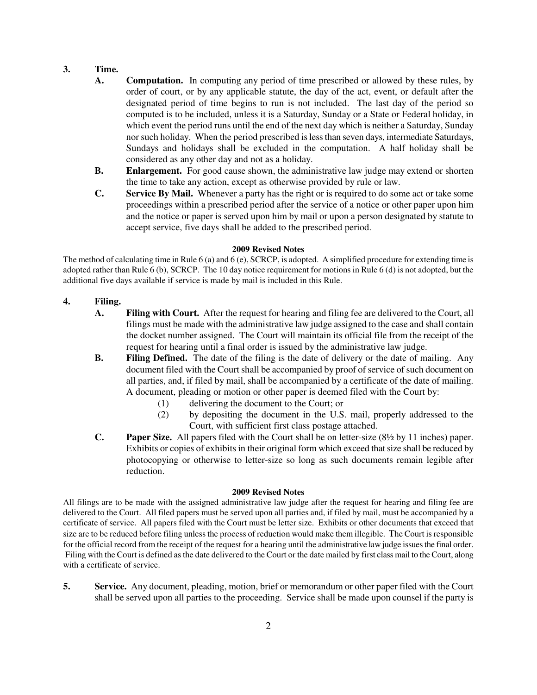# **3. Time.**

- **A. Computation.** In computing any period of time prescribed or allowed by these rules, by order of court, or by any applicable statute, the day of the act, event, or default after the designated period of time begins to run is not included. The last day of the period so computed is to be included, unless it is a Saturday, Sunday or a State or Federal holiday, in which event the period runs until the end of the next day which is neither a Saturday, Sunday nor such holiday. When the period prescribed is less than seven days, intermediate Saturdays, Sundays and holidays shall be excluded in the computation. A half holiday shall be considered as any other day and not as a holiday.
- **B.** Enlargement. For good cause shown, the administrative law judge may extend or shorten the time to take any action, except as otherwise provided by rule or law.
- **C. Service By Mail.** Whenever a party has the right or is required to do some act or take some proceedings within a prescribed period after the service of a notice or other paper upon him and the notice or paper is served upon him by mail or upon a person designated by statute to accept service, five days shall be added to the prescribed period.

### **2009 Revised Notes**

The method of calculating time in Rule 6 (a) and 6 (e), SCRCP, is adopted. A simplified procedure for extending time is adopted rather than Rule 6 (b), SCRCP. The 10 day notice requirement for motions in Rule 6 (d) is not adopted, but the additional five days available if service is made by mail is included in this Rule.

# **4. Filing.**

- **A. Filing with Court.** After the request for hearing and filing fee are delivered to the Court, all filings must be made with the administrative law judge assigned to the case and shall contain the docket number assigned. The Court will maintain its official file from the receipt of the request for hearing until a final order is issued by the administrative law judge.
- **B. Filing Defined.** The date of the filing is the date of delivery or the date of mailing. Any document filed with the Court shall be accompanied by proof of service of such document on all parties, and, if filed by mail, shall be accompanied by a certificate of the date of mailing. A document, pleading or motion or other paper is deemed filed with the Court by:
	- (1) delivering the document to the Court; or
	- (2) by depositing the document in the U.S. mail, properly addressed to the Court, with sufficient first class postage attached.
- **C. Paper Size.** All papers filed with the Court shall be on letter-size (8½ by 11 inches) paper. Exhibits or copies of exhibits in their original form which exceed that size shall be reduced by photocopying or otherwise to letter-size so long as such documents remain legible after reduction.

# **2009 Revised Notes**

All filings are to be made with the assigned administrative law judge after the request for hearing and filing fee are delivered to the Court. All filed papers must be served upon all parties and, if filed by mail, must be accompanied by a certificate of service. All papers filed with the Court must be letter size. Exhibits or other documents that exceed that size are to be reduced before filing unless the process of reduction would make them illegible. The Court is responsible for the official record from the receipt of the request for a hearing until the administrative law judge issues the final order. Filing with the Court is defined as the date delivered to the Court or the date mailed by first class mail to the Court, along with a certificate of service.

**5. Service.** Any document, pleading, motion, brief or memorandum or other paper filed with the Court shall be served upon all parties to the proceeding. Service shall be made upon counsel if the party is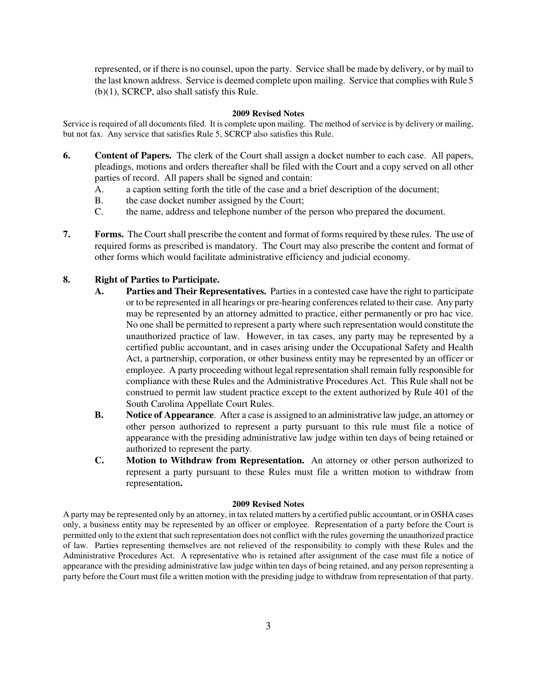represented, or if there is no counsel, upon the party. Service shall be made by delivery, or by mail to the last known address. Service is deemed complete upon mailing. Service that complies with Rule 5 (b)(1), SCRCP, also shall satisfy this Rule.

### **2009 Revised Notes**

Service is required of all documents filed. It is complete upon mailing. The method of service is by delivery or mailing, but not fax. Any service that satisfies Rule 5, SCRCP also satisfies this Rule.

- **6. Content of Papers.** The clerk of the Court shall assign a docket number to each case. All papers, pleadings, motions and orders thereafter shall be filed with the Court and a copy served on all other parties of record. All papers shall be signed and contain:
	- A. a caption setting forth the title of the case and a brief description of the document;
	- B. the case docket number assigned by the Court;
	- C. the name, address and telephone number of the person who prepared the document.
- **7. Forms.** The Court shall prescribe the content and format of forms required by these rules. The use of required forms as prescribed is mandatory. The Court may also prescribe the content and format of other forms which would facilitate administrative efficiency and judicial economy.

# **8. Right of Parties to Participate.**

- **A. Parties and Their Representatives.** Parties in a contested case have the right to participate or to be represented in all hearings or pre-hearing conferences related to their case. Any party may be represented by an attorney admitted to practice, either permanently or pro hac vice. No one shall be permitted to represent a party where such representation would constitute the unauthorized practice of law. However, in tax cases, any party may be represented by a certified public accountant, and in cases arising under the Occupational Safety and Health Act, a partnership, corporation, or other business entity may be represented by an officer or employee. A party proceeding without legal representation shall remain fully responsible for compliance with these Rules and the Administrative Procedures Act. This Rule shall not be construed to permit law student practice except to the extent authorized by Rule 401 of the South Carolina Appellate Court Rules.
- **B. Notice of Appearance**. After a case is assigned to an administrative law judge, an attorney or other person authorized to represent a party pursuant to this rule must file a notice of appearance with the presiding administrative law judge within ten days of being retained or authorized to represent the party.
- **C. Motion to Withdraw from Representation.** An attorney or other person authorized to represent a party pursuant to these Rules must file a written motion to withdraw from representation**.**

#### **2009 Revised Notes**

A party may be represented only by an attorney, in tax related matters by a certified public accountant, or in OSHA cases only, a business entity may be represented by an officer or employee. Representation of a party before the Court is permitted only to the extent that such representation does not conflict with the rules governing the unauthorized practice of law. Parties representing themselves are not relieved of the responsibility to comply with these Rules and the Administrative Procedures Act. A representative who is retained after assignment of the case must file a notice of appearance with the presiding administrative law judge within ten days of being retained, and any person representing a party before the Court must file a written motion with the presiding judge to withdraw from representation of that party.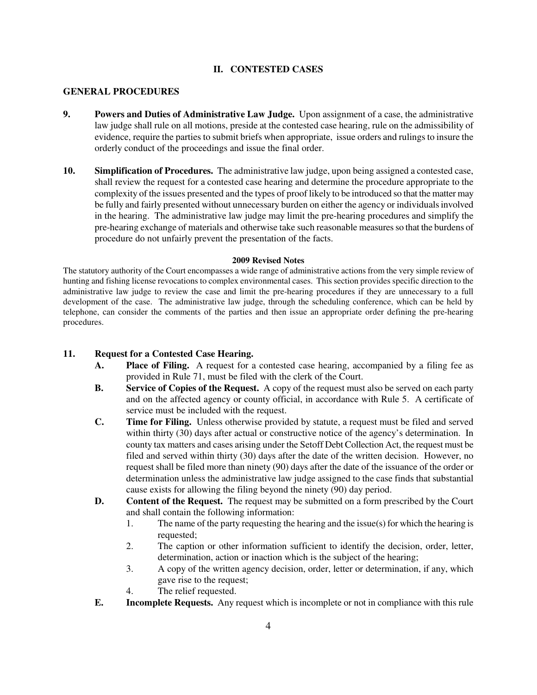# **II. CONTESTED CASES**

# **GENERAL PROCEDURES**

- **9.** Powers and Duties of Administrative Law Judge. Upon assignment of a case, the administrative law judge shall rule on all motions, preside at the contested case hearing, rule on the admissibility of evidence, require the parties to submit briefs when appropriate, issue orders and rulings to insure the orderly conduct of the proceedings and issue the final order.
- **10. Simplification of Procedures.** The administrative law judge, upon being assigned a contested case, shall review the request for a contested case hearing and determine the procedure appropriate to the complexity of the issues presented and the types of proof likely to be introduced so that the matter may be fully and fairly presented without unnecessary burden on either the agency or individuals involved in the hearing. The administrative law judge may limit the pre-hearing procedures and simplify the pre-hearing exchange of materials and otherwise take such reasonable measures so that the burdens of procedure do not unfairly prevent the presentation of the facts.

# **2009 Revised Notes**

The statutory authority of the Court encompasses a wide range of administrative actions from the very simple review of hunting and fishing license revocations to complex environmental cases. This section provides specific direction to the administrative law judge to review the case and limit the pre-hearing procedures if they are unnecessary to a full development of the case. The administrative law judge, through the scheduling conference, which can be held by telephone, can consider the comments of the parties and then issue an appropriate order defining the pre-hearing procedures.

# **11. Request for a Contested Case Hearing.**

- **A. Place of Filing.** A request for a contested case hearing, accompanied by a filing fee as provided in Rule 71, must be filed with the clerk of the Court.
- **B.** Service of Copies of the Request. A copy of the request must also be served on each party and on the affected agency or county official, in accordance with Rule 5. A certificate of service must be included with the request.
- **C. Time for Filing.** Unless otherwise provided by statute, a request must be filed and served within thirty (30) days after actual or constructive notice of the agency's determination. In county tax matters and cases arising under the Setoff Debt Collection Act, the request must be filed and served within thirty (30) days after the date of the written decision. However, no request shall be filed more than ninety (90) days after the date of the issuance of the order or determination unless the administrative law judge assigned to the case finds that substantial cause exists for allowing the filing beyond the ninety (90) day period.
- **D.** Content of the Request. The request may be submitted on a form prescribed by the Court and shall contain the following information:
	- 1. The name of the party requesting the hearing and the issue(s) for which the hearing is requested;
	- 2. The caption or other information sufficient to identify the decision, order, letter, determination, action or inaction which is the subject of the hearing;
	- 3. A copy of the written agency decision, order, letter or determination, if any, which gave rise to the request;
	- 4. The relief requested.
- **E. Incomplete Requests.** Any request which is incomplete or not in compliance with this rule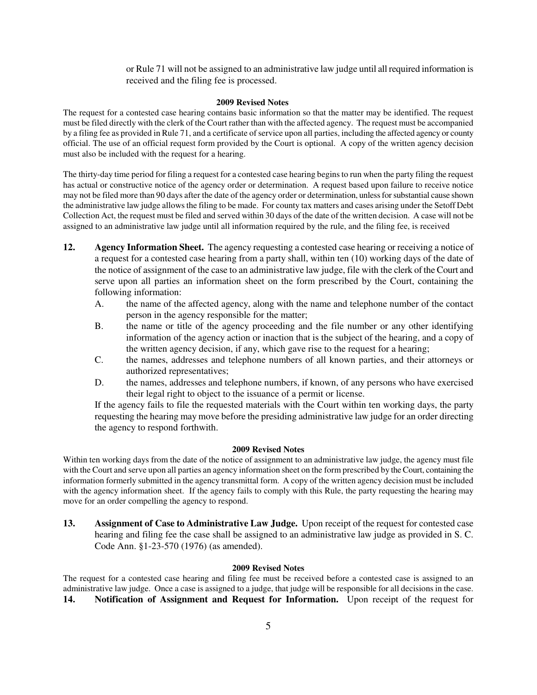or Rule 71 will not be assigned to an administrative law judge until all required information is received and the filing fee is processed.

### **2009 Revised Notes**

The request for a contested case hearing contains basic information so that the matter may be identified. The request must be filed directly with the clerk of the Court rather than with the affected agency. The request must be accompanied by a filing fee as provided in Rule 71, and a certificate of service upon all parties, including the affected agency or county official. The use of an official request form provided by the Court is optional. A copy of the written agency decision must also be included with the request for a hearing.

The thirty-day time period for filing a request for a contested case hearing begins to run when the party filing the request has actual or constructive notice of the agency order or determination. A request based upon failure to receive notice may not be filed more than 90 days after the date of the agency order or determination, unless for substantial cause shown the administrative law judge allows the filing to be made. For county tax matters and cases arising under the Setoff Debt Collection Act, the request must be filed and served within 30 days of the date of the written decision. A case will not be assigned to an administrative law judge until all information required by the rule, and the filing fee, is received

- **12. Agency Information Sheet.** The agency requesting a contested case hearing or receiving a notice of a request for a contested case hearing from a party shall, within ten (10) working days of the date of the notice of assignment of the case to an administrative law judge, file with the clerk of the Court and serve upon all parties an information sheet on the form prescribed by the Court, containing the following information:
	- A. the name of the affected agency, along with the name and telephone number of the contact person in the agency responsible for the matter;
	- B. the name or title of the agency proceeding and the file number or any other identifying information of the agency action or inaction that is the subject of the hearing, and a copy of the written agency decision, if any, which gave rise to the request for a hearing;
	- C. the names, addresses and telephone numbers of all known parties, and their attorneys or authorized representatives;
	- D. the names, addresses and telephone numbers, if known, of any persons who have exercised their legal right to object to the issuance of a permit or license.

If the agency fails to file the requested materials with the Court within ten working days, the party requesting the hearing may move before the presiding administrative law judge for an order directing the agency to respond forthwith.

### **2009 Revised Notes**

Within ten working days from the date of the notice of assignment to an administrative law judge, the agency must file with the Court and serve upon all parties an agency information sheet on the form prescribed by the Court, containing the information formerly submitted in the agency transmittal form. A copy of the written agency decision must be included with the agency information sheet. If the agency fails to comply with this Rule, the party requesting the hearing may move for an order compelling the agency to respond.

**13. Assignment of Case to Administrative Law Judge.** Upon receipt of the request for contested case hearing and filing fee the case shall be assigned to an administrative law judge as provided in S. C. Code Ann. §1-23-570 (1976) (as amended).

#### **2009 Revised Notes**

The request for a contested case hearing and filing fee must be received before a contested case is assigned to an administrative law judge. Once a case is assigned to a judge, that judge will be responsible for all decisions in the case. **14. Notification of Assignment and Request for Information.** Upon receipt of the request for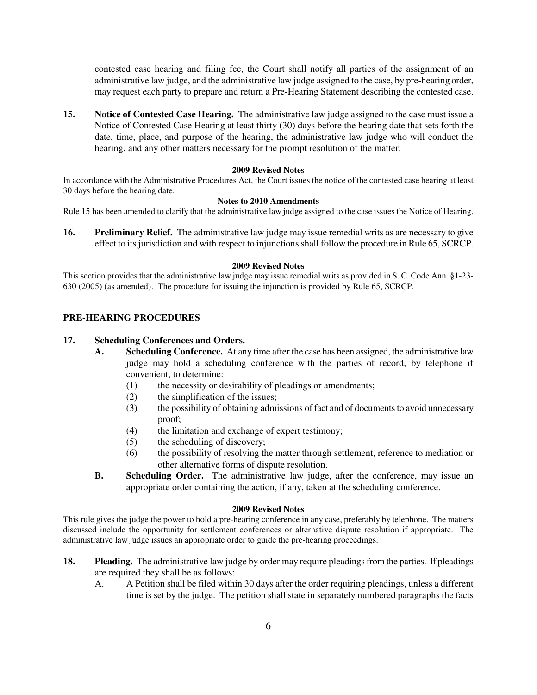contested case hearing and filing fee, the Court shall notify all parties of the assignment of an administrative law judge, and the administrative law judge assigned to the case, by pre-hearing order, may request each party to prepare and return a Pre-Hearing Statement describing the contested case.

**15. Notice of Contested Case Hearing.** The administrative law judge assigned to the case must issue a Notice of Contested Case Hearing at least thirty (30) days before the hearing date that sets forth the date, time, place, and purpose of the hearing, the administrative law judge who will conduct the hearing, and any other matters necessary for the prompt resolution of the matter.

### **2009 Revised Notes**

In accordance with the Administrative Procedures Act, the Court issues the notice of the contested case hearing at least 30 days before the hearing date.

### **Notes to 2010 Amendments**

Rule 15 has been amended to clarify that the administrative law judge assigned to the case issues the Notice of Hearing.

**16.** Preliminary Relief. The administrative law judge may issue remedial writs as are necessary to give effect to its jurisdiction and with respect to injunctions shall follow the procedure in Rule 65, SCRCP.

### **2009 Revised Notes**

This section provides that the administrative law judge may issue remedial writs as provided in S. C. Code Ann. §1-23- 630 (2005) (as amended). The procedure for issuing the injunction is provided by Rule 65, SCRCP.

# **PRE-HEARING PROCEDURES**

### **17. Scheduling Conferences and Orders.**

- **A. Scheduling Conference.** At any time after the case has been assigned, the administrative law judge may hold a scheduling conference with the parties of record, by telephone if convenient, to determine:
	- (1) the necessity or desirability of pleadings or amendments;
	- (2) the simplification of the issues;
	- (3) the possibility of obtaining admissions of fact and of documents to avoid unnecessary proof;
	- (4) the limitation and exchange of expert testimony;
	- (5) the scheduling of discovery;
	- (6) the possibility of resolving the matter through settlement, reference to mediation or other alternative forms of dispute resolution.
- **B.** Scheduling Order. The administrative law judge, after the conference, may issue an appropriate order containing the action, if any, taken at the scheduling conference.

### **2009 Revised Notes**

This rule gives the judge the power to hold a pre-hearing conference in any case, preferably by telephone. The matters discussed include the opportunity for settlement conferences or alternative dispute resolution if appropriate. The administrative law judge issues an appropriate order to guide the pre-hearing proceedings.

- **18.** Pleading. The administrative law judge by order may require pleadings from the parties. If pleadings are required they shall be as follows:
	- A. A Petition shall be filed within 30 days after the order requiring pleadings, unless a different time is set by the judge. The petition shall state in separately numbered paragraphs the facts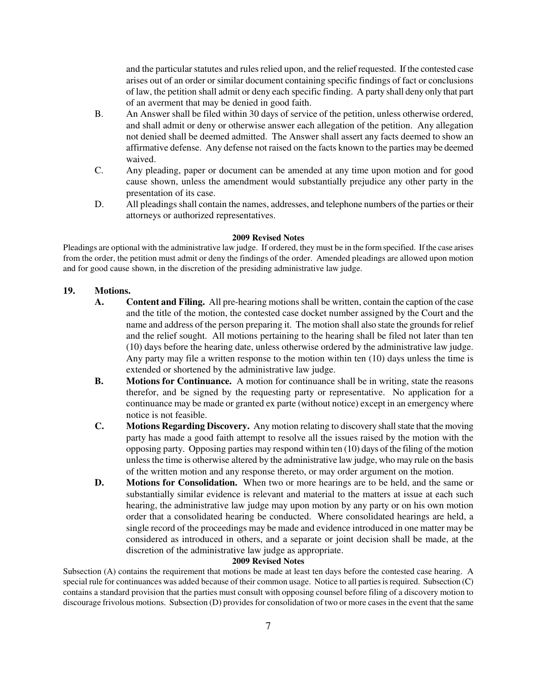and the particular statutes and rules relied upon, and the relief requested. If the contested case arises out of an order or similar document containing specific findings of fact or conclusions of law, the petition shall admit or deny each specific finding. A party shall deny only that part of an averment that may be denied in good faith.

- B. An Answer shall be filed within 30 days of service of the petition, unless otherwise ordered, and shall admit or deny or otherwise answer each allegation of the petition. Any allegation not denied shall be deemed admitted. The Answer shall assert any facts deemed to show an affirmative defense. Any defense not raised on the facts known to the parties may be deemed waived.
- C. Any pleading, paper or document can be amended at any time upon motion and for good cause shown, unless the amendment would substantially prejudice any other party in the presentation of its case.
- D. All pleadings shall contain the names, addresses, and telephone numbers of the parties or their attorneys or authorized representatives.

### **2009 Revised Notes**

Pleadings are optional with the administrative law judge. If ordered, they must be in the form specified. If the case arises from the order, the petition must admit or deny the findings of the order. Amended pleadings are allowed upon motion and for good cause shown, in the discretion of the presiding administrative law judge.

# **19. Motions.**

- **A. Content and Filing.** All pre-hearing motions shall be written, contain the caption of the case and the title of the motion, the contested case docket number assigned by the Court and the name and address of the person preparing it. The motion shall also state the grounds for relief and the relief sought. All motions pertaining to the hearing shall be filed not later than ten (10) days before the hearing date, unless otherwise ordered by the administrative law judge. Any party may file a written response to the motion within ten (10) days unless the time is extended or shortened by the administrative law judge.
- **B.** Motions for Continuance. A motion for continuance shall be in writing, state the reasons therefor, and be signed by the requesting party or representative. No application for a continuance may be made or granted ex parte (without notice) except in an emergency where notice is not feasible.
- **C. Motions Regarding Discovery.** Any motion relating to discovery shall state that the moving party has made a good faith attempt to resolve all the issues raised by the motion with the opposing party. Opposing parties may respond within ten (10) days of the filing of the motion unless the time is otherwise altered by the administrative law judge, who may rule on the basis of the written motion and any response thereto, or may order argument on the motion.
- **D.** Motions for Consolidation. When two or more hearings are to be held, and the same or substantially similar evidence is relevant and material to the matters at issue at each such hearing, the administrative law judge may upon motion by any party or on his own motion order that a consolidated hearing be conducted. Where consolidated hearings are held, a single record of the proceedings may be made and evidence introduced in one matter may be considered as introduced in others, and a separate or joint decision shall be made, at the discretion of the administrative law judge as appropriate.

### **2009 Revised Notes**

Subsection (A) contains the requirement that motions be made at least ten days before the contested case hearing. A special rule for continuances was added because of their common usage. Notice to all parties is required. Subsection (C) contains a standard provision that the parties must consult with opposing counsel before filing of a discovery motion to discourage frivolous motions. Subsection (D) provides for consolidation of two or more cases in the event that the same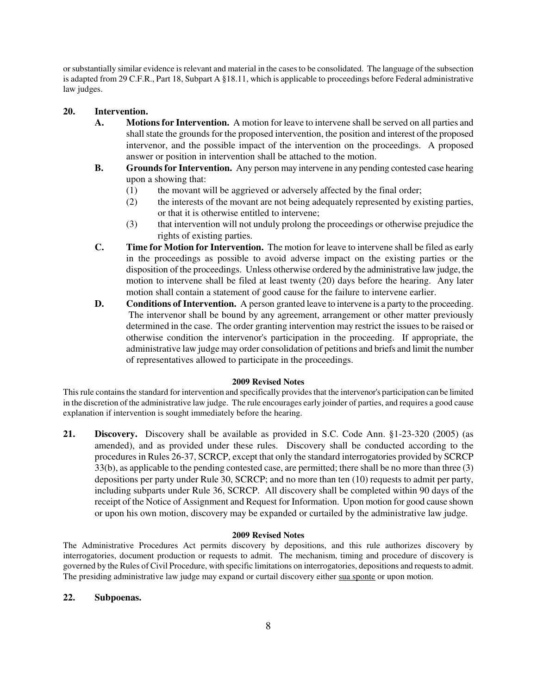or substantially similar evidence is relevant and material in the cases to be consolidated. The language of the subsection is adapted from 29 C.F.R., Part 18, Subpart A §18.11, which is applicable to proceedings before Federal administrative law judges.

# **20. Intervention.**

- **A. Motions for Intervention.** A motion for leave to intervene shall be served on all parties and shall state the grounds for the proposed intervention, the position and interest of the proposed intervenor, and the possible impact of the intervention on the proceedings. A proposed answer or position in intervention shall be attached to the motion.
- **B.** Grounds for Intervention. Any person may intervene in any pending contested case hearing upon a showing that:
	- (1) the movant will be aggrieved or adversely affected by the final order;
	- (2) the interests of the movant are not being adequately represented by existing parties, or that it is otherwise entitled to intervene;
	- (3) that intervention will not unduly prolong the proceedings or otherwise prejudice the rights of existing parties.
- **C. Time for Motion for Intervention.** The motion for leave to intervene shall be filed as early in the proceedings as possible to avoid adverse impact on the existing parties or the disposition of the proceedings. Unless otherwise ordered by the administrative law judge, the motion to intervene shall be filed at least twenty (20) days before the hearing. Any later motion shall contain a statement of good cause for the failure to intervene earlier.
- **D.** Conditions of Intervention. A person granted leave to intervene is a party to the proceeding. The intervenor shall be bound by any agreement, arrangement or other matter previously determined in the case. The order granting intervention may restrict the issues to be raised or otherwise condition the intervenor's participation in the proceeding. If appropriate, the administrative law judge may order consolidation of petitions and briefs and limit the number of representatives allowed to participate in the proceedings.

# **2009 Revised Notes**

This rule contains the standard for intervention and specifically provides that the intervenor's participation can be limited in the discretion of the administrative law judge. The rule encourages early joinder of parties, and requires a good cause explanation if intervention is sought immediately before the hearing.

**21. Discovery.** Discovery shall be available as provided in S.C. Code Ann. §1-23-320 (2005) (as amended), and as provided under these rules. Discovery shall be conducted according to the procedures in Rules 26-37, SCRCP, except that only the standard interrogatories provided by SCRCP 33(b), as applicable to the pending contested case, are permitted; there shall be no more than three (3) depositions per party under Rule 30, SCRCP; and no more than ten (10) requests to admit per party, including subparts under Rule 36, SCRCP. All discovery shall be completed within 90 days of the receipt of the Notice of Assignment and Request for Information. Upon motion for good cause shown or upon his own motion, discovery may be expanded or curtailed by the administrative law judge.

### **2009 Revised Notes**

The Administrative Procedures Act permits discovery by depositions, and this rule authorizes discovery by interrogatories, document production or requests to admit. The mechanism, timing and procedure of discovery is governed by the Rules of Civil Procedure, with specific limitations on interrogatories, depositions and requests to admit. The presiding administrative law judge may expand or curtail discovery either sua sponte or upon motion.

# **22. Subpoenas.**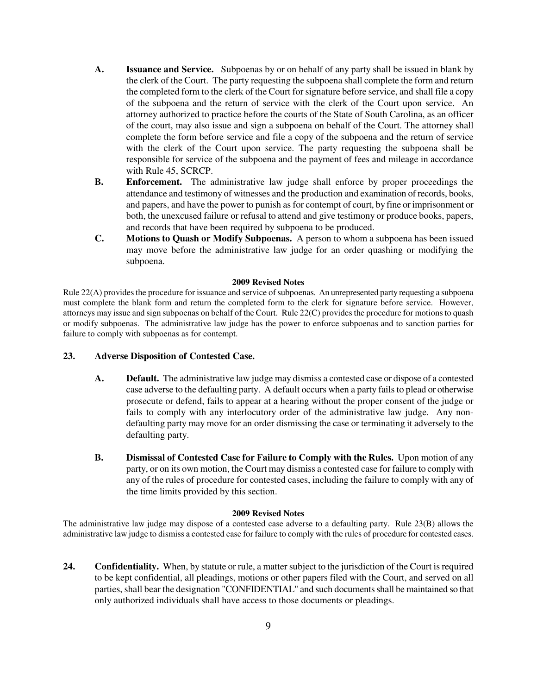- **A. Issuance and Service.** Subpoenas by or on behalf of any party shall be issued in blank by the clerk of the Court. The party requesting the subpoena shall complete the form and return the completed form to the clerk of the Court for signature before service, and shall file a copy of the subpoena and the return of service with the clerk of the Court upon service. An attorney authorized to practice before the courts of the State of South Carolina, as an officer of the court, may also issue and sign a subpoena on behalf of the Court. The attorney shall complete the form before service and file a copy of the subpoena and the return of service with the clerk of the Court upon service. The party requesting the subpoena shall be responsible for service of the subpoena and the payment of fees and mileage in accordance with Rule 45, SCRCP.
- **B.** Enforcement. The administrative law judge shall enforce by proper proceedings the attendance and testimony of witnesses and the production and examination of records, books, and papers, and have the power to punish as for contempt of court, by fine or imprisonment or both, the unexcused failure or refusal to attend and give testimony or produce books, papers, and records that have been required by subpoena to be produced.
- **C. Motions to Quash or Modify Subpoenas.** A person to whom a subpoena has been issued may move before the administrative law judge for an order quashing or modifying the subpoena.

### **2009 Revised Notes**

Rule 22(A) provides the procedure for issuance and service of subpoenas. An unrepresented party requesting a subpoena must complete the blank form and return the completed form to the clerk for signature before service. However, attorneys may issue and sign subpoenas on behalf of the Court. Rule 22(C) provides the procedure for motions to quash or modify subpoenas. The administrative law judge has the power to enforce subpoenas and to sanction parties for failure to comply with subpoenas as for contempt.

# **23. Adverse Disposition of Contested Case.**

- **A. Default.** The administrative law judge may dismiss a contested case or dispose of a contested case adverse to the defaulting party. A default occurs when a party fails to plead or otherwise prosecute or defend, fails to appear at a hearing without the proper consent of the judge or fails to comply with any interlocutory order of the administrative law judge. Any nondefaulting party may move for an order dismissing the case or terminating it adversely to the defaulting party.
- **B. Dismissal of Contested Case for Failure to Comply with the Rules.** Upon motion of any party, or on its own motion, the Court may dismiss a contested case for failure to comply with any of the rules of procedure for contested cases, including the failure to comply with any of the time limits provided by this section.

### **2009 Revised Notes**

The administrative law judge may dispose of a contested case adverse to a defaulting party. Rule 23(B) allows the administrative law judge to dismiss a contested case for failure to comply with the rules of procedure for contested cases.

**24.** Confidentiality. When, by statute or rule, a matter subject to the jurisdiction of the Court is required to be kept confidential, all pleadings, motions or other papers filed with the Court, and served on all parties, shall bear the designation "CONFIDENTIAL" and such documents shall be maintained so that only authorized individuals shall have access to those documents or pleadings.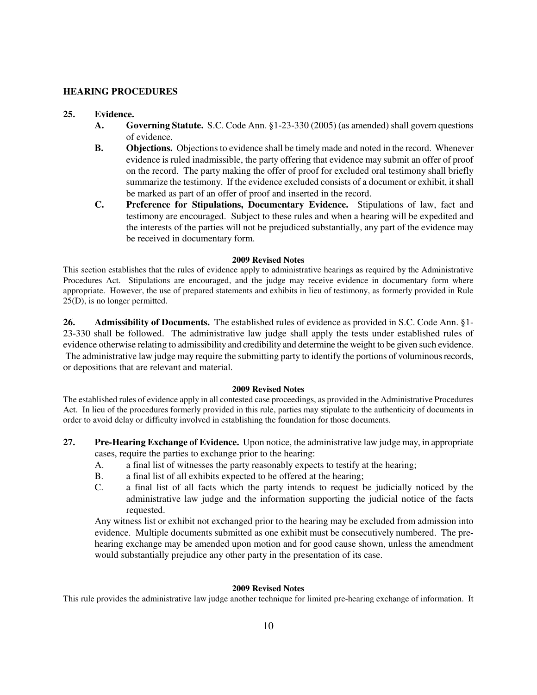# **HEARING PROCEDURES**

# **25. Evidence.**

- **A. Governing Statute.** S.C. Code Ann. §1-23-330 (2005) (as amended) shall govern questions of evidence.
- **B.** Objections. Objections to evidence shall be timely made and noted in the record. Whenever evidence is ruled inadmissible, the party offering that evidence may submit an offer of proof on the record. The party making the offer of proof for excluded oral testimony shall briefly summarize the testimony. If the evidence excluded consists of a document or exhibit, it shall be marked as part of an offer of proof and inserted in the record.
- **C. Preference for Stipulations, Documentary Evidence.** Stipulations of law, fact and testimony are encouraged. Subject to these rules and when a hearing will be expedited and the interests of the parties will not be prejudiced substantially, any part of the evidence may be received in documentary form.

### **2009 Revised Notes**

This section establishes that the rules of evidence apply to administrative hearings as required by the Administrative Procedures Act. Stipulations are encouraged, and the judge may receive evidence in documentary form where appropriate. However, the use of prepared statements and exhibits in lieu of testimony, as formerly provided in Rule 25(D), is no longer permitted.

**26. Admissibility of Documents.** The established rules of evidence as provided in S.C. Code Ann. §1- 23-330 shall be followed. The administrative law judge shall apply the tests under established rules of evidence otherwise relating to admissibility and credibility and determine the weight to be given such evidence. The administrative law judge may require the submitting party to identify the portions of voluminous records, or depositions that are relevant and material.

### **2009 Revised Notes**

The established rules of evidence apply in all contested case proceedings, as provided in the Administrative Procedures Act. In lieu of the procedures formerly provided in this rule, parties may stipulate to the authenticity of documents in order to avoid delay or difficulty involved in establishing the foundation for those documents.

- **27. Pre-Hearing Exchange of Evidence.** Upon notice, the administrative law judge may, in appropriate cases, require the parties to exchange prior to the hearing:
	- A. a final list of witnesses the party reasonably expects to testify at the hearing;
	- B. a final list of all exhibits expected to be offered at the hearing;
	- C. a final list of all facts which the party intends to request be judicially noticed by the administrative law judge and the information supporting the judicial notice of the facts requested.

Any witness list or exhibit not exchanged prior to the hearing may be excluded from admission into evidence. Multiple documents submitted as one exhibit must be consecutively numbered. The prehearing exchange may be amended upon motion and for good cause shown, unless the amendment would substantially prejudice any other party in the presentation of its case.

# **2009 Revised Notes**

This rule provides the administrative law judge another technique for limited pre-hearing exchange of information. It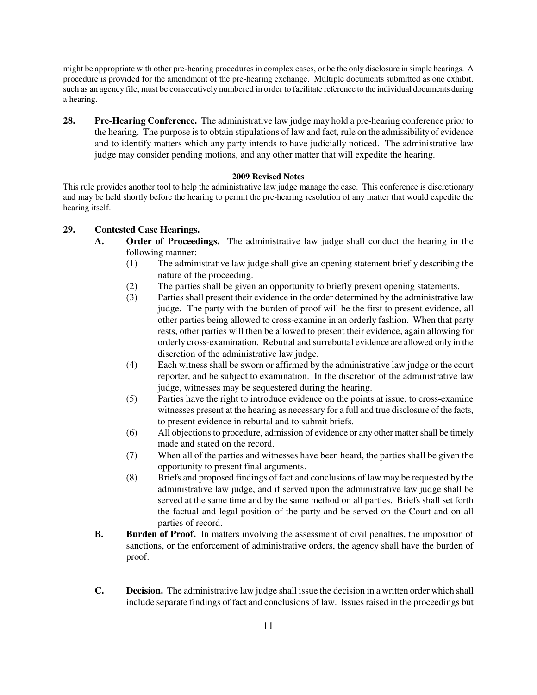might be appropriate with other pre-hearing procedures in complex cases, or be the only disclosure in simple hearings. A procedure is provided for the amendment of the pre-hearing exchange. Multiple documents submitted as one exhibit, such as an agency file, must be consecutively numbered in order to facilitate reference to the individual documents during a hearing.

**28. Pre-Hearing Conference.** The administrative law judge may hold a pre-hearing conference prior to the hearing. The purpose is to obtain stipulations of law and fact, rule on the admissibility of evidence and to identify matters which any party intends to have judicially noticed. The administrative law judge may consider pending motions, and any other matter that will expedite the hearing.

### **2009 Revised Notes**

This rule provides another tool to help the administrative law judge manage the case. This conference is discretionary and may be held shortly before the hearing to permit the pre-hearing resolution of any matter that would expedite the hearing itself.

# **29. Contested Case Hearings.**

- **A. Order of Proceedings.** The administrative law judge shall conduct the hearing in the following manner:
	- (1) The administrative law judge shall give an opening statement briefly describing the nature of the proceeding.
	- (2) The parties shall be given an opportunity to briefly present opening statements.
	- (3) Parties shall present their evidence in the order determined by the administrative law judge. The party with the burden of proof will be the first to present evidence, all other parties being allowed to cross-examine in an orderly fashion. When that party rests, other parties will then be allowed to present their evidence, again allowing for orderly cross-examination. Rebuttal and surrebuttal evidence are allowed only in the discretion of the administrative law judge.
	- (4) Each witness shall be sworn or affirmed by the administrative law judge or the court reporter, and be subject to examination. In the discretion of the administrative law judge, witnesses may be sequestered during the hearing.
	- (5) Parties have the right to introduce evidence on the points at issue, to cross-examine witnesses present at the hearing as necessary for a full and true disclosure of the facts, to present evidence in rebuttal and to submit briefs.
	- (6) All objections to procedure, admission of evidence or any other matter shall be timely made and stated on the record.
	- (7) When all of the parties and witnesses have been heard, the parties shall be given the opportunity to present final arguments.
	- (8) Briefs and proposed findings of fact and conclusions of law may be requested by the administrative law judge, and if served upon the administrative law judge shall be served at the same time and by the same method on all parties. Briefs shall set forth the factual and legal position of the party and be served on the Court and on all parties of record.
- **B.** Burden of Proof. In matters involving the assessment of civil penalties, the imposition of sanctions, or the enforcement of administrative orders, the agency shall have the burden of proof.
- **C. Decision.** The administrative law judge shall issue the decision in a written order which shall include separate findings of fact and conclusions of law. Issues raised in the proceedings but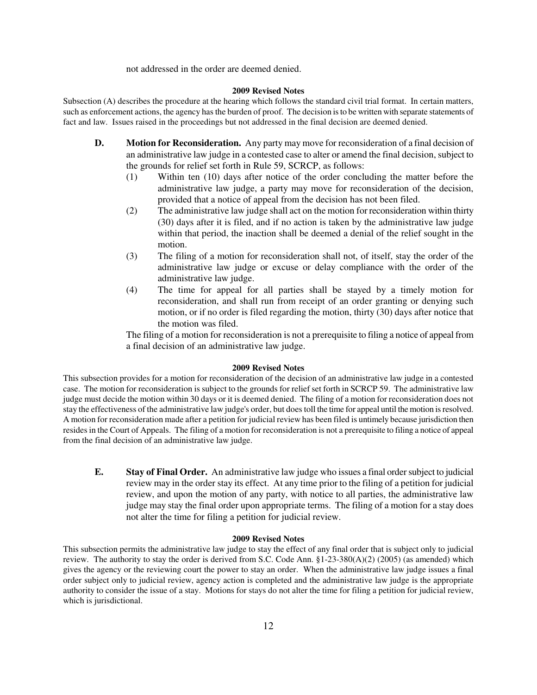not addressed in the order are deemed denied.

### **2009 Revised Notes**

Subsection (A) describes the procedure at the hearing which follows the standard civil trial format. In certain matters, such as enforcement actions, the agency has the burden of proof. The decision is to be written with separate statements of fact and law. Issues raised in the proceedings but not addressed in the final decision are deemed denied.

- **D.** Motion for Reconsideration. Any party may move for reconsideration of a final decision of an administrative law judge in a contested case to alter or amend the final decision, subject to the grounds for relief set forth in Rule 59, SCRCP, as follows:
	- (1) Within ten (10) days after notice of the order concluding the matter before the administrative law judge, a party may move for reconsideration of the decision, provided that a notice of appeal from the decision has not been filed.
	- (2) The administrative law judge shall act on the motion for reconsideration within thirty (30) days after it is filed, and if no action is taken by the administrative law judge within that period, the inaction shall be deemed a denial of the relief sought in the motion.
	- (3) The filing of a motion for reconsideration shall not, of itself, stay the order of the administrative law judge or excuse or delay compliance with the order of the administrative law judge.
	- (4) The time for appeal for all parties shall be stayed by a timely motion for reconsideration, and shall run from receipt of an order granting or denying such motion, or if no order is filed regarding the motion, thirty (30) days after notice that the motion was filed.

The filing of a motion for reconsideration is not a prerequisite to filing a notice of appeal from a final decision of an administrative law judge.

#### **2009 Revised Notes**

This subsection provides for a motion for reconsideration of the decision of an administrative law judge in a contested case. The motion for reconsideration is subject to the grounds for relief set forth in SCRCP 59. The administrative law judge must decide the motion within 30 days or it is deemed denied. The filing of a motion for reconsideration does not stay the effectiveness of the administrative law judge's order, but does toll the time for appeal until the motion is resolved. A motion for reconsideration made after a petition for judicial review has been filed is untimely because jurisdiction then resides in the Court of Appeals. The filing of a motion for reconsideration is not a prerequisite to filing a notice of appeal from the final decision of an administrative law judge.

**E. Stay of Final Order.** An administrative law judge who issues a final order subject to judicial review may in the order stay its effect. At any time prior to the filing of a petition for judicial review, and upon the motion of any party, with notice to all parties, the administrative law judge may stay the final order upon appropriate terms. The filing of a motion for a stay does not alter the time for filing a petition for judicial review.

#### **2009 Revised Notes**

This subsection permits the administrative law judge to stay the effect of any final order that is subject only to judicial review. The authority to stay the order is derived from S.C. Code Ann. §1-23-380(A)(2) (2005) (as amended) which gives the agency or the reviewing court the power to stay an order. When the administrative law judge issues a final order subject only to judicial review, agency action is completed and the administrative law judge is the appropriate authority to consider the issue of a stay. Motions for stays do not alter the time for filing a petition for judicial review, which is jurisdictional.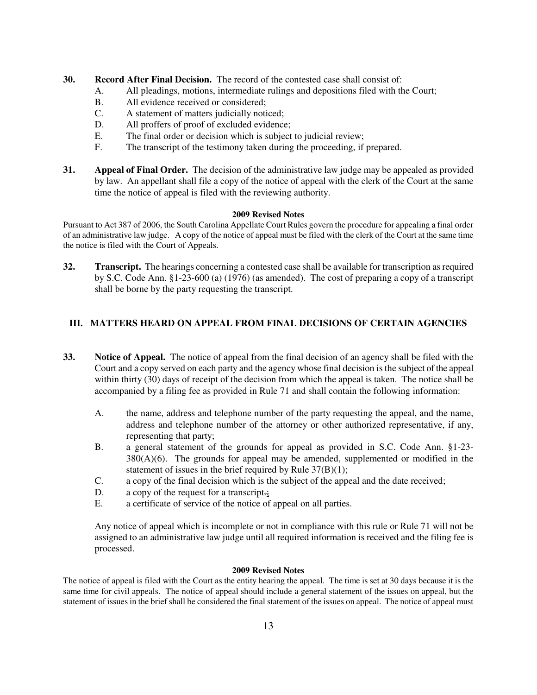- **30. Record After Final Decision.** The record of the contested case shall consist of:
	- A. All pleadings, motions, intermediate rulings and depositions filed with the Court;
	- B. All evidence received or considered;
	- C. A statement of matters judicially noticed;
	- D. All proffers of proof of excluded evidence;
	- E. The final order or decision which is subject to judicial review;
	- F. The transcript of the testimony taken during the proceeding, if prepared.
- **31. Appeal of Final Order.** The decision of the administrative law judge may be appealed as provided by law. An appellant shall file a copy of the notice of appeal with the clerk of the Court at the same time the notice of appeal is filed with the reviewing authority.

# **2009 Revised Notes**

Pursuant to Act 387 of 2006, the South Carolina Appellate Court Rules govern the procedure for appealing a final order of an administrative law judge. A copy of the notice of appeal must be filed with the clerk of the Court at the same time the notice is filed with the Court of Appeals.

**32. Transcript.** The hearings concerning a contested case shall be available for transcription as required by S.C. Code Ann. §1-23-600 (a) (1976) (as amended). The cost of preparing a copy of a transcript shall be borne by the party requesting the transcript.

# **III. MATTERS HEARD ON APPEAL FROM FINAL DECISIONS OF CERTAIN AGENCIES**

- **33. Notice of Appeal.** The notice of appeal from the final decision of an agency shall be filed with the Court and a copy served on each party and the agency whose final decision is the subject of the appeal within thirty (30) days of receipt of the decision from which the appeal is taken. The notice shall be accompanied by a filing fee as provided in Rule 71 and shall contain the following information:
	- A. the name, address and telephone number of the party requesting the appeal, and the name, address and telephone number of the attorney or other authorized representative, if any, representing that party;
	- B. a general statement of the grounds for appeal as provided in S.C. Code Ann. §1-23-  $380(A)(6)$ . The grounds for appeal may be amended, supplemented or modified in the statement of issues in the brief required by Rule  $37(B)(1)$ ;
	- C. a copy of the final decision which is the subject of the appeal and the date received;
	- D. a copy of the request for a transcript $\div$
	- E. a certificate of service of the notice of appeal on all parties.

 Any notice of appeal which is incomplete or not in compliance with this rule or Rule 71 will not be assigned to an administrative law judge until all required information is received and the filing fee is processed.

### **2009 Revised Notes**

The notice of appeal is filed with the Court as the entity hearing the appeal. The time is set at 30 days because it is the same time for civil appeals. The notice of appeal should include a general statement of the issues on appeal, but the statement of issues in the brief shall be considered the final statement of the issues on appeal. The notice of appeal must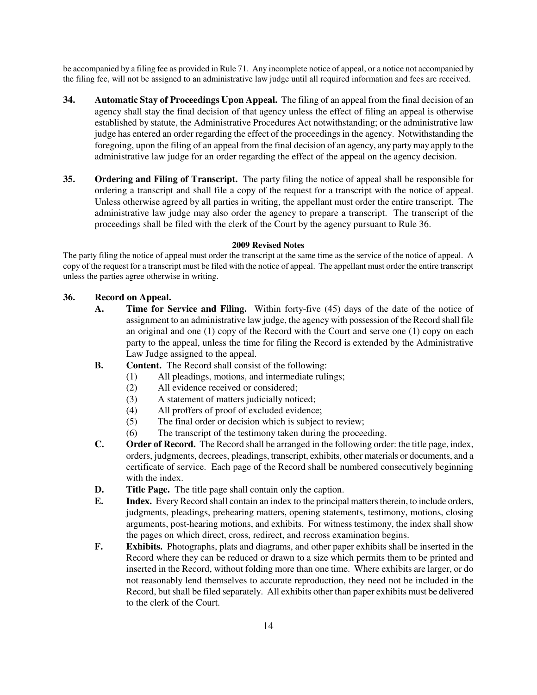be accompanied by a filing fee as provided in Rule 71. Any incomplete notice of appeal, or a notice not accompanied by the filing fee, will not be assigned to an administrative law judge until all required information and fees are received.

- **34. Automatic Stay of Proceedings Upon Appeal.** The filing of an appeal from the final decision of an agency shall stay the final decision of that agency unless the effect of filing an appeal is otherwise established by statute, the Administrative Procedures Act notwithstanding; or the administrative law judge has entered an order regarding the effect of the proceedings in the agency. Notwithstanding the foregoing, upon the filing of an appeal from the final decision of an agency, any party may apply to the administrative law judge for an order regarding the effect of the appeal on the agency decision.
- **35. Ordering and Filing of Transcript.** The party filing the notice of appeal shall be responsible for ordering a transcript and shall file a copy of the request for a transcript with the notice of appeal. Unless otherwise agreed by all parties in writing, the appellant must order the entire transcript. The administrative law judge may also order the agency to prepare a transcript. The transcript of the proceedings shall be filed with the clerk of the Court by the agency pursuant to Rule 36.

# **2009 Revised Notes**

The party filing the notice of appeal must order the transcript at the same time as the service of the notice of appeal. A copy of the request for a transcript must be filed with the notice of appeal. The appellant must order the entire transcript unless the parties agree otherwise in writing.

# **36. Record on Appeal.**

- **A. Time for Service and Filing.** Within forty-five (45) days of the date of the notice of assignment to an administrative law judge, the agency with possession of the Record shall file an original and one (1) copy of the Record with the Court and serve one (1) copy on each party to the appeal, unless the time for filing the Record is extended by the Administrative Law Judge assigned to the appeal.
- **B. Content.** The Record shall consist of the following:
	- (1) All pleadings, motions, and intermediate rulings;
	- (2) All evidence received or considered;
	- (3) A statement of matters judicially noticed;
	- (4) All proffers of proof of excluded evidence;
	- (5) The final order or decision which is subject to review;
	- (6) The transcript of the testimony taken during the proceeding.
- **C. Order of Record.** The Record shall be arranged in the following order: the title page, index, orders, judgments, decrees, pleadings, transcript, exhibits, other materials or documents, and a certificate of service. Each page of the Record shall be numbered consecutively beginning with the index.
- **D. Title Page.** The title page shall contain only the caption.
- **E. Index.** Every Record shall contain an index to the principal matters therein, to include orders, judgments, pleadings, prehearing matters, opening statements, testimony, motions, closing arguments, post-hearing motions, and exhibits. For witness testimony, the index shall show the pages on which direct, cross, redirect, and recross examination begins.
- **F. Exhibits.** Photographs, plats and diagrams, and other paper exhibits shall be inserted in the Record where they can be reduced or drawn to a size which permits them to be printed and inserted in the Record, without folding more than one time. Where exhibits are larger, or do not reasonably lend themselves to accurate reproduction, they need not be included in the Record, but shall be filed separately. All exhibits other than paper exhibits must be delivered to the clerk of the Court.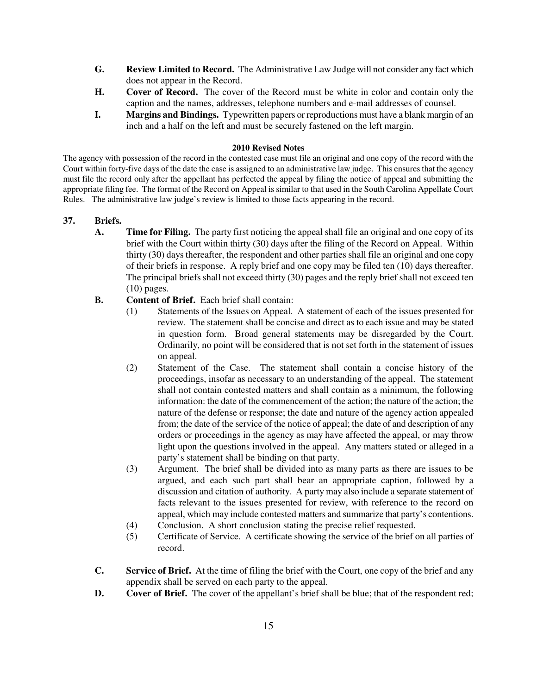- **G. Review Limited to Record.** The Administrative Law Judge will not consider any fact which does not appear in the Record.
- **H. Cover of Record.** The cover of the Record must be white in color and contain only the caption and the names, addresses, telephone numbers and e-mail addresses of counsel.
- **I. Margins and Bindings.** Typewritten papers or reproductions must have a blank margin of an inch and a half on the left and must be securely fastened on the left margin.

### **2010 Revised Notes**

The agency with possession of the record in the contested case must file an original and one copy of the record with the Court within forty-five days of the date the case is assigned to an administrative law judge. This ensures that the agency must file the record only after the appellant has perfected the appeal by filing the notice of appeal and submitting the appropriate filing fee. The format of the Record on Appeal is similar to that used in the South Carolina Appellate Court Rules. The administrative law judge's review is limited to those facts appearing in the record.

# **37. Briefs.**

- **A. Time for Filing.** The party first noticing the appeal shall file an original and one copy of its brief with the Court within thirty (30) days after the filing of the Record on Appeal. Within thirty (30) days thereafter, the respondent and other parties shall file an original and one copy of their briefs in response. A reply brief and one copy may be filed ten (10) days thereafter. The principal briefs shall not exceed thirty (30) pages and the reply brief shall not exceed ten (10) pages.
- **B. Content of Brief.** Each brief shall contain:
	- (1) Statements of the Issues on Appeal. A statement of each of the issues presented for review. The statement shall be concise and direct as to each issue and may be stated in question form. Broad general statements may be disregarded by the Court. Ordinarily, no point will be considered that is not set forth in the statement of issues on appeal.
	- (2) Statement of the Case. The statement shall contain a concise history of the proceedings, insofar as necessary to an understanding of the appeal. The statement shall not contain contested matters and shall contain as a minimum, the following information: the date of the commencement of the action; the nature of the action; the nature of the defense or response; the date and nature of the agency action appealed from; the date of the service of the notice of appeal; the date of and description of any orders or proceedings in the agency as may have affected the appeal, or may throw light upon the questions involved in the appeal. Any matters stated or alleged in a party's statement shall be binding on that party.
	- (3) Argument. The brief shall be divided into as many parts as there are issues to be argued, and each such part shall bear an appropriate caption, followed by a discussion and citation of authority. A party may also include a separate statement of facts relevant to the issues presented for review, with reference to the record on appeal, which may include contested matters and summarize that party's contentions.
	- (4) Conclusion. A short conclusion stating the precise relief requested.
	- (5) Certificate of Service. A certificate showing the service of the brief on all parties of record.
- **C. Service of Brief.** At the time of filing the brief with the Court, one copy of the brief and any appendix shall be served on each party to the appeal.
- **D.** Cover of Brief. The cover of the appellant's brief shall be blue; that of the respondent red;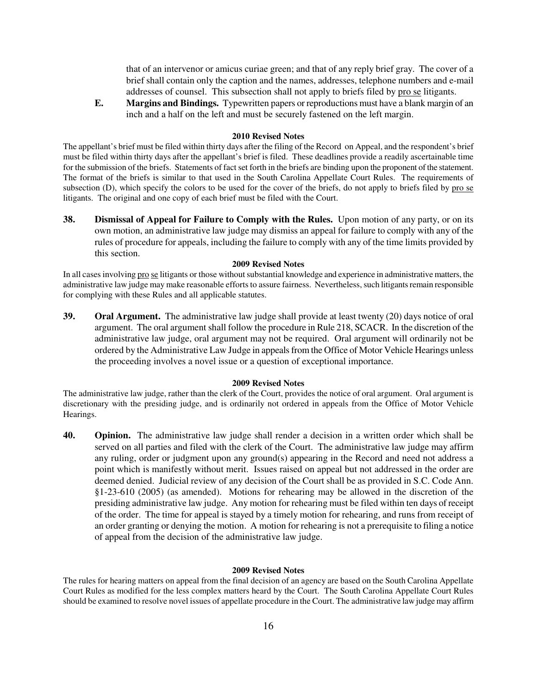that of an intervenor or amicus curiae green; and that of any reply brief gray. The cover of a brief shall contain only the caption and the names, addresses, telephone numbers and e-mail addresses of counsel. This subsection shall not apply to briefs filed by pro se litigants.

**E. Margins and Bindings.** Typewritten papers or reproductions must have a blank margin of an inch and a half on the left and must be securely fastened on the left margin.

### **2010 Revised Notes**

The appellant's brief must be filed within thirty days after the filing of the Record on Appeal, and the respondent's brief must be filed within thirty days after the appellant's brief is filed. These deadlines provide a readily ascertainable time for the submission of the briefs. Statements of fact set forth in the briefs are binding upon the proponent of the statement. The format of the briefs is similar to that used in the South Carolina Appellate Court Rules. The requirements of subsection (D), which specify the colors to be used for the cover of the briefs, do not apply to briefs filed by pro se litigants. The original and one copy of each brief must be filed with the Court.

**38. Dismissal of Appeal for Failure to Comply with the Rules.** Upon motion of any party, or on its own motion, an administrative law judge may dismiss an appeal for failure to comply with any of the rules of procedure for appeals, including the failure to comply with any of the time limits provided by this section.

#### **2009 Revised Notes**

In all cases involving pro se litigants or those without substantial knowledge and experience in administrative matters, the administrative law judge may make reasonable efforts to assure fairness. Nevertheless, such litigants remain responsible for complying with these Rules and all applicable statutes.

**39. Oral Argument.** The administrative law judge shall provide at least twenty (20) days notice of oral argument. The oral argument shall follow the procedure in Rule 218, SCACR. In the discretion of the administrative law judge, oral argument may not be required. Oral argument will ordinarily not be ordered by the Administrative Law Judge in appeals from the Office of Motor Vehicle Hearings unless the proceeding involves a novel issue or a question of exceptional importance.

### **2009 Revised Notes**

The administrative law judge, rather than the clerk of the Court, provides the notice of oral argument. Oral argument is discretionary with the presiding judge, and is ordinarily not ordered in appeals from the Office of Motor Vehicle Hearings.

**40. Opinion.** The administrative law judge shall render a decision in a written order which shall be served on all parties and filed with the clerk of the Court. The administrative law judge may affirm any ruling, order or judgment upon any ground(s) appearing in the Record and need not address a point which is manifestly without merit. Issues raised on appeal but not addressed in the order are deemed denied. Judicial review of any decision of the Court shall be as provided in S.C. Code Ann. §1-23-610 (2005) (as amended). Motions for rehearing may be allowed in the discretion of the presiding administrative law judge. Any motion for rehearing must be filed within ten days of receipt of the order. The time for appeal is stayed by a timely motion for rehearing, and runs from receipt of an order granting or denying the motion. A motion for rehearing is not a prerequisite to filing a notice of appeal from the decision of the administrative law judge.

### **2009 Revised Notes**

The rules for hearing matters on appeal from the final decision of an agency are based on the South Carolina Appellate Court Rules as modified for the less complex matters heard by the Court. The South Carolina Appellate Court Rules should be examined to resolve novel issues of appellate procedure in the Court. The administrative law judge may affirm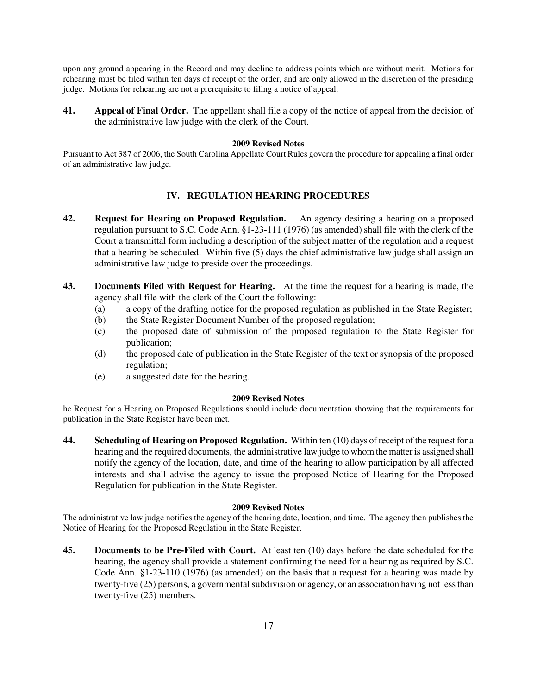upon any ground appearing in the Record and may decline to address points which are without merit. Motions for rehearing must be filed within ten days of receipt of the order, and are only allowed in the discretion of the presiding judge. Motions for rehearing are not a prerequisite to filing a notice of appeal.

**41. Appeal of Final Order.** The appellant shall file a copy of the notice of appeal from the decision of the administrative law judge with the clerk of the Court.

### **2009 Revised Notes**

Pursuant to Act 387 of 2006, the South Carolina Appellate Court Rules govern the procedure for appealing a final order of an administrative law judge.

# **IV. REGULATION HEARING PROCEDURES**

- **42. Request for Hearing on Proposed Regulation.** An agency desiring a hearing on a proposed regulation pursuant to S.C. Code Ann. §1-23-111 (1976) (as amended) shall file with the clerk of the Court a transmittal form including a description of the subject matter of the regulation and a request that a hearing be scheduled. Within five (5) days the chief administrative law judge shall assign an administrative law judge to preside over the proceedings.
- **43. Documents Filed with Request for Hearing.** At the time the request for a hearing is made, the agency shall file with the clerk of the Court the following:
	- (a) a copy of the drafting notice for the proposed regulation as published in the State Register;
	- (b) the State Register Document Number of the proposed regulation;
	- (c) the proposed date of submission of the proposed regulation to the State Register for publication;
	- (d) the proposed date of publication in the State Register of the text or synopsis of the proposed regulation;
	- (e) a suggested date for the hearing.

# **2009 Revised Notes**

he Request for a Hearing on Proposed Regulations should include documentation showing that the requirements for publication in the State Register have been met.

**44. Scheduling of Hearing on Proposed Regulation.** Within ten (10) days of receipt of the request for a hearing and the required documents, the administrative law judge to whom the matter is assigned shall notify the agency of the location, date, and time of the hearing to allow participation by all affected interests and shall advise the agency to issue the proposed Notice of Hearing for the Proposed Regulation for publication in the State Register.

# **2009 Revised Notes**

The administrative law judge notifies the agency of the hearing date, location, and time. The agency then publishes the Notice of Hearing for the Proposed Regulation in the State Register.

**45. Documents to be Pre-Filed with Court.** At least ten (10) days before the date scheduled for the hearing, the agency shall provide a statement confirming the need for a hearing as required by S.C. Code Ann. §1-23-110 (1976) (as amended) on the basis that a request for a hearing was made by twenty-five (25) persons, a governmental subdivision or agency, or an association having not less than twenty-five (25) members.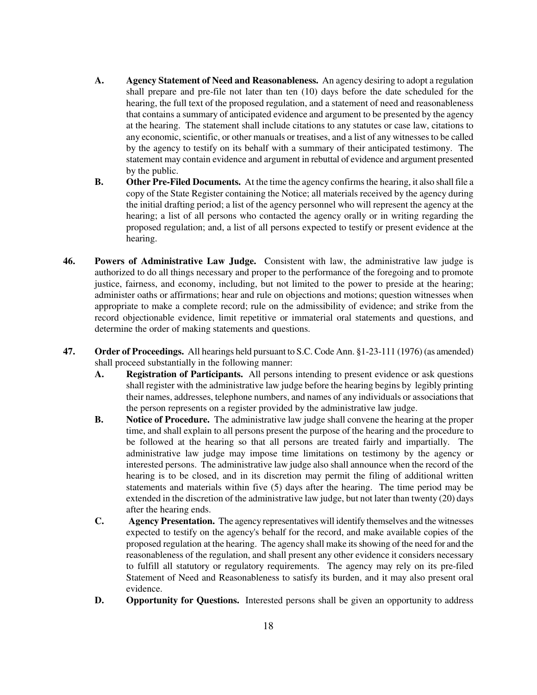- **A. Agency Statement of Need and Reasonableness.** An agency desiring to adopt a regulation shall prepare and pre-file not later than ten (10) days before the date scheduled for the hearing, the full text of the proposed regulation, and a statement of need and reasonableness that contains a summary of anticipated evidence and argument to be presented by the agency at the hearing. The statement shall include citations to any statutes or case law, citations to any economic, scientific, or other manuals or treatises, and a list of any witnesses to be called by the agency to testify on its behalf with a summary of their anticipated testimony. The statement may contain evidence and argument in rebuttal of evidence and argument presented by the public.
- **B.** Other Pre-Filed Documents. At the time the agency confirms the hearing, it also shall file a copy of the State Register containing the Notice; all materials received by the agency during the initial drafting period; a list of the agency personnel who will represent the agency at the hearing; a list of all persons who contacted the agency orally or in writing regarding the proposed regulation; and, a list of all persons expected to testify or present evidence at the hearing.
- **46. Powers of Administrative Law Judge.** Consistent with law, the administrative law judge is authorized to do all things necessary and proper to the performance of the foregoing and to promote justice, fairness, and economy, including, but not limited to the power to preside at the hearing; administer oaths or affirmations; hear and rule on objections and motions; question witnesses when appropriate to make a complete record; rule on the admissibility of evidence; and strike from the record objectionable evidence, limit repetitive or immaterial oral statements and questions, and determine the order of making statements and questions.
- **47. Order of Proceedings.** All hearings held pursuant to S.C. Code Ann. §1-23-111 (1976) (as amended) shall proceed substantially in the following manner:
	- **A. Registration of Participants.** All persons intending to present evidence or ask questions shall register with the administrative law judge before the hearing begins by legibly printing their names, addresses, telephone numbers, and names of any individuals or associations that the person represents on a register provided by the administrative law judge.
	- **B. Notice of Procedure.** The administrative law judge shall convene the hearing at the proper time, and shall explain to all persons present the purpose of the hearing and the procedure to be followed at the hearing so that all persons are treated fairly and impartially. The administrative law judge may impose time limitations on testimony by the agency or interested persons. The administrative law judge also shall announce when the record of the hearing is to be closed, and in its discretion may permit the filing of additional written statements and materials within five (5) days after the hearing. The time period may be extended in the discretion of the administrative law judge, but not later than twenty (20) days after the hearing ends.
	- **C. Agency Presentation.** The agency representatives will identify themselves and the witnesses expected to testify on the agency's behalf for the record, and make available copies of the proposed regulation at the hearing. The agency shall make its showing of the need for and the reasonableness of the regulation, and shall present any other evidence it considers necessary to fulfill all statutory or regulatory requirements. The agency may rely on its pre-filed Statement of Need and Reasonableness to satisfy its burden, and it may also present oral evidence.
	- **D.** Opportunity for Questions. Interested persons shall be given an opportunity to address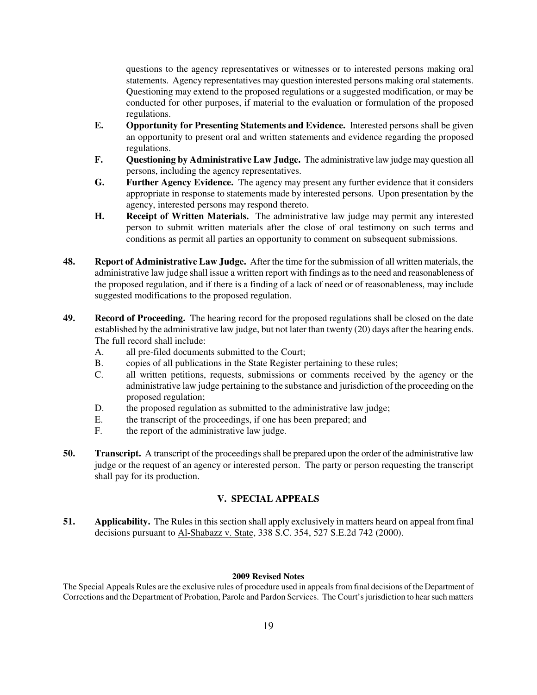questions to the agency representatives or witnesses or to interested persons making oral statements. Agency representatives may question interested persons making oral statements. Questioning may extend to the proposed regulations or a suggested modification, or may be conducted for other purposes, if material to the evaluation or formulation of the proposed regulations.

- **E. Opportunity for Presenting Statements and Evidence.** Interested persons shall be given an opportunity to present oral and written statements and evidence regarding the proposed regulations.
- **F. Questioning by Administrative Law Judge.** The administrative law judge may question all persons, including the agency representatives.
- **G. Further Agency Evidence.** The agency may present any further evidence that it considers appropriate in response to statements made by interested persons. Upon presentation by the agency, interested persons may respond thereto.
- **H. Receipt of Written Materials.** The administrative law judge may permit any interested person to submit written materials after the close of oral testimony on such terms and conditions as permit all parties an opportunity to comment on subsequent submissions.
- **48. Report of Administrative Law Judge.** After the time for the submission of all written materials, the administrative law judge shall issue a written report with findings as to the need and reasonableness of the proposed regulation, and if there is a finding of a lack of need or of reasonableness, may include suggested modifications to the proposed regulation.
- **49. Record of Proceeding.** The hearing record for the proposed regulations shall be closed on the date established by the administrative law judge, but not later than twenty (20) days after the hearing ends. The full record shall include:
	- A. all pre-filed documents submitted to the Court;
	- B. copies of all publications in the State Register pertaining to these rules;
	- C. all written petitions, requests, submissions or comments received by the agency or the administrative law judge pertaining to the substance and jurisdiction of the proceeding on the proposed regulation;
	- D. the proposed regulation as submitted to the administrative law judge;
	- E. the transcript of the proceedings, if one has been prepared; and F. the report of the administrative law judge.
	- the report of the administrative law judge.
- **50. Transcript.** A transcript of the proceedings shall be prepared upon the order of the administrative law judge or the request of an agency or interested person. The party or person requesting the transcript shall pay for its production.

# **V. SPECIAL APPEALS**

**51. Applicability.** The Rules in this section shall apply exclusively in matters heard on appeal from final decisions pursuant to Al-Shabazz v. State, 338 S.C. 354, 527 S.E.2d 742 (2000).

### **2009 Revised Notes**

The Special Appeals Rules are the exclusive rules of procedure used in appeals from final decisions of the Department of Corrections and the Department of Probation, Parole and Pardon Services. The Court's jurisdiction to hear such matters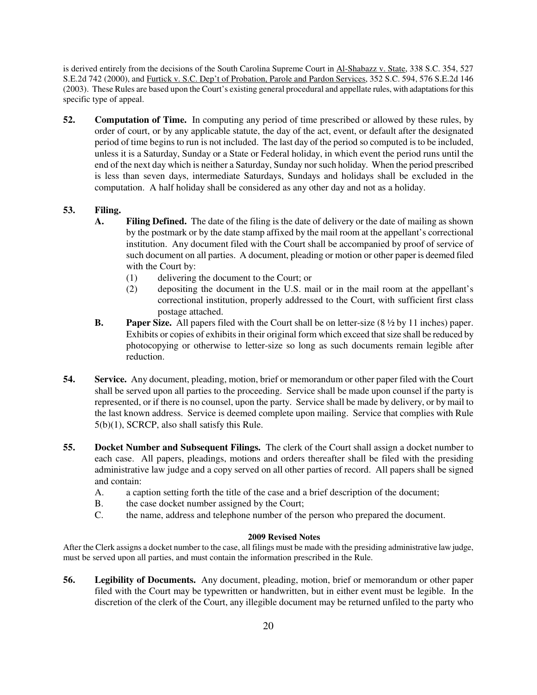is derived entirely from the decisions of the South Carolina Supreme Court in Al-Shabazz v. State, 338 S.C. 354, 527 S.E.2d 742 (2000), and Furtick v. S.C. Dep't of Probation, Parole and Pardon Services, 352 S.C. 594, 576 S.E.2d 146 (2003). These Rules are based upon the Court's existing general procedural and appellate rules, with adaptations for this specific type of appeal.

**52. Computation of Time.** In computing any period of time prescribed or allowed by these rules, by order of court, or by any applicable statute, the day of the act, event, or default after the designated period of time begins to run is not included. The last day of the period so computed is to be included, unless it is a Saturday, Sunday or a State or Federal holiday, in which event the period runs until the end of the next day which is neither a Saturday, Sunday nor such holiday. When the period prescribed is less than seven days, intermediate Saturdays, Sundays and holidays shall be excluded in the computation. A half holiday shall be considered as any other day and not as a holiday.

# **53. Filing.**

- **A. Filing Defined.** The date of the filing is the date of delivery or the date of mailing as shown by the postmark or by the date stamp affixed by the mail room at the appellant's correctional institution. Any document filed with the Court shall be accompanied by proof of service of such document on all parties. A document, pleading or motion or other paper is deemed filed with the Court by:
	- (1) delivering the document to the Court; or
	- (2) depositing the document in the U.S. mail or in the mail room at the appellant's correctional institution, properly addressed to the Court, with sufficient first class postage attached.
- **B. Paper Size.** All papers filed with the Court shall be on letter-size (8  $\frac{1}{2}$  by 11 inches) paper. Exhibits or copies of exhibits in their original form which exceed that size shall be reduced by photocopying or otherwise to letter-size so long as such documents remain legible after reduction.
- **54. Service.** Any document, pleading, motion, brief or memorandum or other paper filed with the Court shall be served upon all parties to the proceeding. Service shall be made upon counsel if the party is represented, or if there is no counsel, upon the party. Service shall be made by delivery, or by mail to the last known address. Service is deemed complete upon mailing. Service that complies with Rule 5(b)(1), SCRCP, also shall satisfy this Rule.
- **55.** Docket Number and Subsequent Filings. The clerk of the Court shall assign a docket number to each case. All papers, pleadings, motions and orders thereafter shall be filed with the presiding administrative law judge and a copy served on all other parties of record. All papers shall be signed and contain:
	- A. a caption setting forth the title of the case and a brief description of the document;
	- B. the case docket number assigned by the Court;
	- C. the name, address and telephone number of the person who prepared the document.

# **2009 Revised Notes**

After the Clerk assigns a docket number to the case, all filings must be made with the presiding administrative law judge, must be served upon all parties, and must contain the information prescribed in the Rule.

**56. Legibility of Documents.** Any document, pleading, motion, brief or memorandum or other paper filed with the Court may be typewritten or handwritten, but in either event must be legible. In the discretion of the clerk of the Court, any illegible document may be returned unfiled to the party who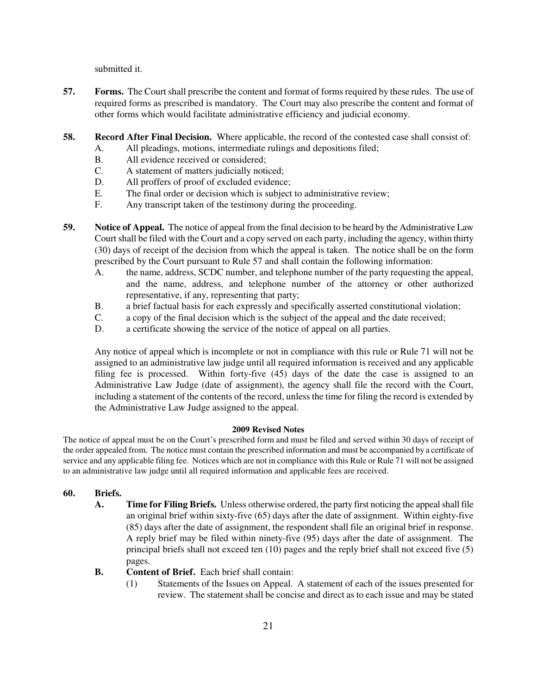submitted it.

- **57. Forms.** The Court shall prescribe the content and format of forms required by these rules. The use of required forms as prescribed is mandatory. The Court may also prescribe the content and format of other forms which would facilitate administrative efficiency and judicial economy.
- **58. Record After Final Decision.** Where applicable, the record of the contested case shall consist of:
	- A. All pleadings, motions, intermediate rulings and depositions filed;
	- B. All evidence received or considered;
	- C. A statement of matters judicially noticed;
	- D. All proffers of proof of excluded evidence;
	- E. The final order or decision which is subject to administrative review;
	- F. Any transcript taken of the testimony during the proceeding.
- **59. Notice of Appeal.** The notice of appeal from the final decision to be heard by the Administrative Law Court shall be filed with the Court and a copy served on each party, including the agency, within thirty (30) days of receipt of the decision from which the appeal is taken. The notice shall be on the form prescribed by the Court pursuant to Rule 57 and shall contain the following information:
	- A. the name, address, SCDC number, and telephone number of the party requesting the appeal, and the name, address, and telephone number of the attorney or other authorized representative, if any, representing that party;
	- B. a brief factual basis for each expressly and specifically asserted constitutional violation;
	- C. a copy of the final decision which is the subject of the appeal and the date received;
	- D. a certificate showing the service of the notice of appeal on all parties.

 Any notice of appeal which is incomplete or not in compliance with this rule or Rule 71 will not be assigned to an administrative law judge until all required information is received and any applicable filing fee is processed. Within forty-five (45) days of the date the case is assigned to an Administrative Law Judge (date of assignment), the agency shall file the record with the Court, including a statement of the contents of the record, unless the time for filing the record is extended by the Administrative Law Judge assigned to the appeal.

# **2009 Revised Notes**

The notice of appeal must be on the Court's prescribed form and must be filed and served within 30 days of receipt of the order appealed from. The notice must contain the prescribed information and must be accompanied by a certificate of service and any applicable filing fee. Notices which are not in compliance with this Rule or Rule 71 will not be assigned to an administrative law judge until all required information and applicable fees are received.

# **60. Briefs.**

- **A. Time for Filing Briefs.** Unless otherwise ordered, the party first noticing the appeal shall file an original brief within sixty-five (65) days after the date of assignment. Within eighty-five (85) days after the date of assignment, the respondent shall file an original brief in response. A reply brief may be filed within ninety-five (95) days after the date of assignment. The principal briefs shall not exceed ten (10) pages and the reply brief shall not exceed five (5) pages.
- **B. Content of Brief.** Each brief shall contain:
	- (1) Statements of the Issues on Appeal. A statement of each of the issues presented for review. The statement shall be concise and direct as to each issue and may be stated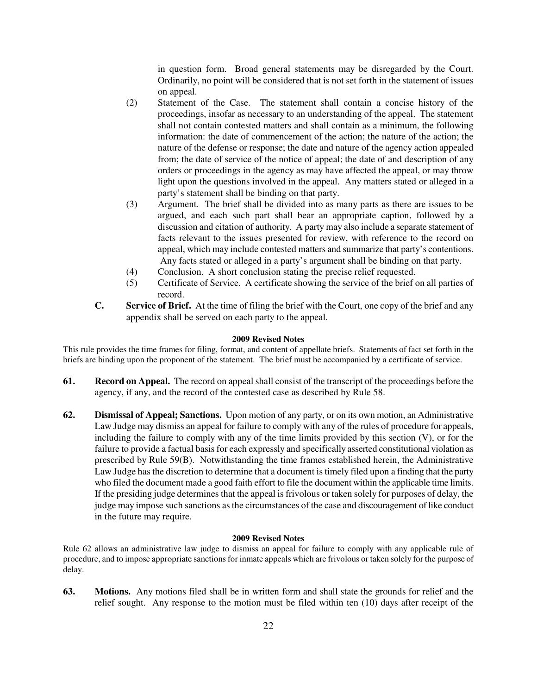in question form. Broad general statements may be disregarded by the Court. Ordinarily, no point will be considered that is not set forth in the statement of issues on appeal.

- (2) Statement of the Case. The statement shall contain a concise history of the proceedings, insofar as necessary to an understanding of the appeal. The statement shall not contain contested matters and shall contain as a minimum, the following information: the date of commencement of the action; the nature of the action; the nature of the defense or response; the date and nature of the agency action appealed from; the date of service of the notice of appeal; the date of and description of any orders or proceedings in the agency as may have affected the appeal, or may throw light upon the questions involved in the appeal. Any matters stated or alleged in a party's statement shall be binding on that party.
- (3) Argument. The brief shall be divided into as many parts as there are issues to be argued, and each such part shall bear an appropriate caption, followed by a discussion and citation of authority. A party may also include a separate statement of facts relevant to the issues presented for review, with reference to the record on appeal, which may include contested matters and summarize that party's contentions. Any facts stated or alleged in a party's argument shall be binding on that party.
- (4) Conclusion. A short conclusion stating the precise relief requested.
- (5) Certificate of Service. A certificate showing the service of the brief on all parties of record.
- **C. Service of Brief.** At the time of filing the brief with the Court, one copy of the brief and any appendix shall be served on each party to the appeal.

### **2009 Revised Notes**

This rule provides the time frames for filing, format, and content of appellate briefs. Statements of fact set forth in the briefs are binding upon the proponent of the statement. The brief must be accompanied by a certificate of service.

- **61. Record on Appeal.** The record on appeal shall consist of the transcript of the proceedings before the agency, if any, and the record of the contested case as described by Rule 58.
- **62. Dismissal of Appeal; Sanctions.** Upon motion of any party, or on its own motion, an Administrative Law Judge may dismiss an appeal for failure to comply with any of the rules of procedure for appeals, including the failure to comply with any of the time limits provided by this section (V), or for the failure to provide a factual basis for each expressly and specifically asserted constitutional violation as prescribed by Rule 59(B). Notwithstanding the time frames established herein, the Administrative Law Judge has the discretion to determine that a document is timely filed upon a finding that the party who filed the document made a good faith effort to file the document within the applicable time limits. If the presiding judge determines that the appeal is frivolous or taken solely for purposes of delay, the judge may impose such sanctions as the circumstances of the case and discouragement of like conduct in the future may require.

### **2009 Revised Notes**

Rule 62 allows an administrative law judge to dismiss an appeal for failure to comply with any applicable rule of procedure, and to impose appropriate sanctions for inmate appeals which are frivolous or taken solely for the purpose of delay.

**63. Motions.** Any motions filed shall be in written form and shall state the grounds for relief and the relief sought. Any response to the motion must be filed within ten (10) days after receipt of the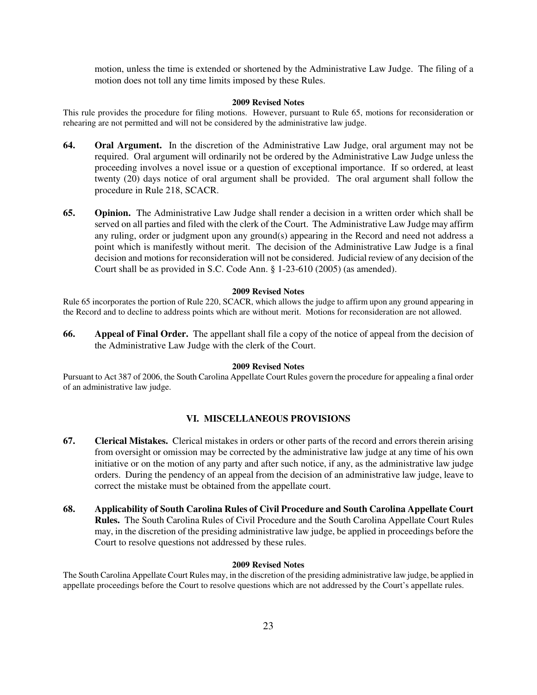motion, unless the time is extended or shortened by the Administrative Law Judge. The filing of a motion does not toll any time limits imposed by these Rules.

### **2009 Revised Notes**

This rule provides the procedure for filing motions. However, pursuant to Rule 65, motions for reconsideration or rehearing are not permitted and will not be considered by the administrative law judge.

- **64. Oral Argument.** In the discretion of the Administrative Law Judge, oral argument may not be required. Oral argument will ordinarily not be ordered by the Administrative Law Judge unless the proceeding involves a novel issue or a question of exceptional importance. If so ordered, at least twenty (20) days notice of oral argument shall be provided. The oral argument shall follow the procedure in Rule 218, SCACR.
- **65. Opinion.** The Administrative Law Judge shall render a decision in a written order which shall be served on all parties and filed with the clerk of the Court. The Administrative Law Judge may affirm any ruling, order or judgment upon any ground(s) appearing in the Record and need not address a point which is manifestly without merit. The decision of the Administrative Law Judge is a final decision and motions for reconsideration will not be considered. Judicial review of any decision of the Court shall be as provided in S.C. Code Ann. § 1-23-610 (2005) (as amended).

#### **2009 Revised Notes**

Rule 65 incorporates the portion of Rule 220, SCACR, which allows the judge to affirm upon any ground appearing in the Record and to decline to address points which are without merit. Motions for reconsideration are not allowed.

**66. Appeal of Final Order.** The appellant shall file a copy of the notice of appeal from the decision of the Administrative Law Judge with the clerk of the Court.

### **2009 Revised Notes**

Pursuant to Act 387 of 2006, the South Carolina Appellate Court Rules govern the procedure for appealing a final order of an administrative law judge.

### **VI. MISCELLANEOUS PROVISIONS**

- **67. Clerical Mistakes.** Clerical mistakes in orders or other parts of the record and errors therein arising from oversight or omission may be corrected by the administrative law judge at any time of his own initiative or on the motion of any party and after such notice, if any, as the administrative law judge orders. During the pendency of an appeal from the decision of an administrative law judge, leave to correct the mistake must be obtained from the appellate court.
- **68. Applicability of South Carolina Rules of Civil Procedure and South Carolina Appellate Court Rules.** The South Carolina Rules of Civil Procedure and the South Carolina Appellate Court Rules may, in the discretion of the presiding administrative law judge, be applied in proceedings before the Court to resolve questions not addressed by these rules.

### **2009 Revised Notes**

The South Carolina Appellate Court Rules may, in the discretion of the presiding administrative law judge, be applied in appellate proceedings before the Court to resolve questions which are not addressed by the Court's appellate rules.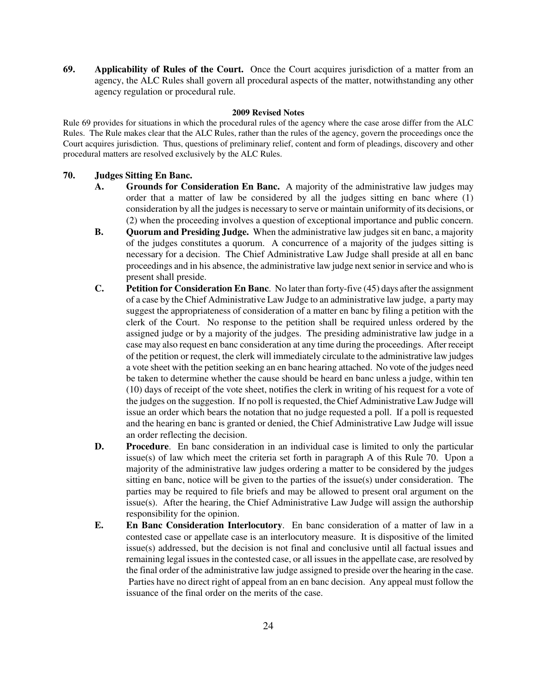**69. Applicability of Rules of the Court.** Once the Court acquires jurisdiction of a matter from an agency, the ALC Rules shall govern all procedural aspects of the matter, notwithstanding any other agency regulation or procedural rule.

### **2009 Revised Notes**

Rule 69 provides for situations in which the procedural rules of the agency where the case arose differ from the ALC Rules. The Rule makes clear that the ALC Rules, rather than the rules of the agency, govern the proceedings once the Court acquires jurisdiction. Thus, questions of preliminary relief, content and form of pleadings, discovery and other procedural matters are resolved exclusively by the ALC Rules.

# **70. Judges Sitting En Banc.**

- **A. Grounds for Consideration En Banc.** A majority of the administrative law judges may order that a matter of law be considered by all the judges sitting en banc where (1) consideration by all the judges is necessary to serve or maintain uniformity of its decisions, or (2) when the proceeding involves a question of exceptional importance and public concern.
- **B. Quorum and Presiding Judge.** When the administrative law judges sit en banc, a majority of the judges constitutes a quorum. A concurrence of a majority of the judges sitting is necessary for a decision. The Chief Administrative Law Judge shall preside at all en banc proceedings and in his absence, the administrative law judge next senior in service and who is present shall preside.
- **C. Petition for Consideration En Banc**. No later than forty-five (45) days after the assignment of a case by the Chief Administrative Law Judge to an administrative law judge, a party may suggest the appropriateness of consideration of a matter en banc by filing a petition with the clerk of the Court. No response to the petition shall be required unless ordered by the assigned judge or by a majority of the judges. The presiding administrative law judge in a case may also request en banc consideration at any time during the proceedings. After receipt of the petition or request, the clerk will immediately circulate to the administrative law judges a vote sheet with the petition seeking an en banc hearing attached. No vote of the judges need be taken to determine whether the cause should be heard en banc unless a judge, within ten (10) days of receipt of the vote sheet, notifies the clerk in writing of his request for a vote of the judges on the suggestion. If no poll is requested, the Chief Administrative Law Judge will issue an order which bears the notation that no judge requested a poll. If a poll is requested and the hearing en banc is granted or denied, the Chief Administrative Law Judge will issue an order reflecting the decision.
- **D.** Procedure. En banc consideration in an individual case is limited to only the particular issue(s) of law which meet the criteria set forth in paragraph A of this Rule 70. Upon a majority of the administrative law judges ordering a matter to be considered by the judges sitting en banc, notice will be given to the parties of the issue(s) under consideration. The parties may be required to file briefs and may be allowed to present oral argument on the issue(s). After the hearing, the Chief Administrative Law Judge will assign the authorship responsibility for the opinion.
- **E. En Banc Consideration Interlocutory**. En banc consideration of a matter of law in a contested case or appellate case is an interlocutory measure. It is dispositive of the limited issue(s) addressed, but the decision is not final and conclusive until all factual issues and remaining legal issues in the contested case, or all issues in the appellate case, are resolved by the final order of the administrative law judge assigned to preside over the hearing in the case. Parties have no direct right of appeal from an en banc decision. Any appeal must follow the issuance of the final order on the merits of the case.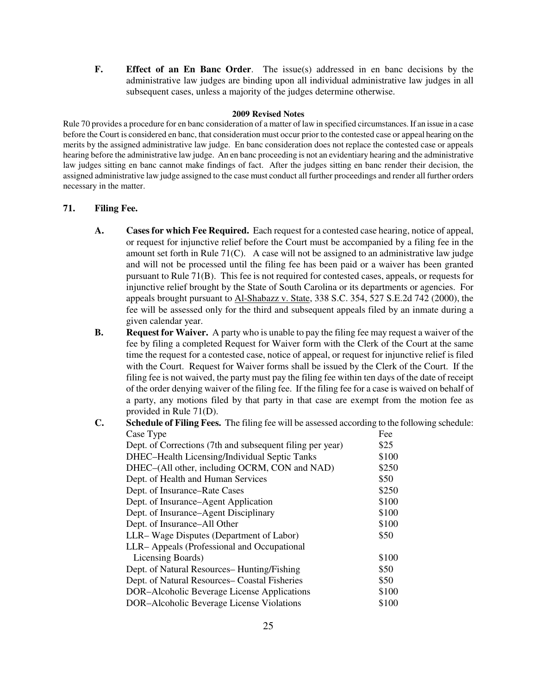**F. Effect of an En Banc Order**. The issue(s) addressed in en banc decisions by the administrative law judges are binding upon all individual administrative law judges in all subsequent cases, unless a majority of the judges determine otherwise.

### **2009 Revised Notes**

Rule 70 provides a procedure for en banc consideration of a matter of law in specified circumstances. If an issue in a case before the Court is considered en banc, that consideration must occur prior to the contested case or appeal hearing on the merits by the assigned administrative law judge. En banc consideration does not replace the contested case or appeals hearing before the administrative law judge. An en banc proceeding is not an evidentiary hearing and the administrative law judges sitting en banc cannot make findings of fact. After the judges sitting en banc render their decision, the assigned administrative law judge assigned to the case must conduct all further proceedings and render all further orders necessary in the matter.

# **71. Filing Fee.**

- **A. Cases for which Fee Required.** Each request for a contested case hearing, notice of appeal, or request for injunctive relief before the Court must be accompanied by a filing fee in the amount set forth in Rule  $71(C)$ . A case will not be assigned to an administrative law judge and will not be processed until the filing fee has been paid or a waiver has been granted pursuant to Rule 71(B). This fee is not required for contested cases, appeals, or requests for injunctive relief brought by the State of South Carolina or its departments or agencies. For appeals brought pursuant to Al-Shabazz v. State, 338 S.C. 354, 527 S.E.2d 742 (2000), the fee will be assessed only for the third and subsequent appeals filed by an inmate during a given calendar year.
- **B.** Request for Waiver. A party who is unable to pay the filing fee may request a waiver of the fee by filing a completed Request for Waiver form with the Clerk of the Court at the same time the request for a contested case, notice of appeal, or request for injunctive relief is filed with the Court. Request for Waiver forms shall be issued by the Clerk of the Court. If the filing fee is not waived, the party must pay the filing fee within ten days of the date of receipt of the order denying waiver of the filing fee. If the filing fee for a case is waived on behalf of a party, any motions filed by that party in that case are exempt from the motion fee as provided in Rule 71(D).
- **C. Schedule of Filing Fees.** The filing fee will be assessed according to the following schedule: Case Type Fee

| $\sim$ $\sim$ $\sim$ $\sim$ $\sim$                        |       |
|-----------------------------------------------------------|-------|
| Dept. of Corrections (7th and subsequent filing per year) | \$25  |
| DHEC–Health Licensing/Individual Septic Tanks             | \$100 |
| DHEC–(All other, including OCRM, CON and NAD)             | \$250 |
| Dept. of Health and Human Services                        | \$50  |
| Dept. of Insurance–Rate Cases                             | \$250 |
| Dept. of Insurance–Agent Application                      | \$100 |
| Dept. of Insurance–Agent Disciplinary                     | \$100 |
| Dept. of Insurance–All Other                              | \$100 |
| LLR– Wage Disputes (Department of Labor)                  | \$50  |
| LLR–Appeals (Professional and Occupational                |       |
| Licensing Boards)                                         | \$100 |
| Dept. of Natural Resources– Hunting/Fishing               | \$50  |
| Dept. of Natural Resources– Coastal Fisheries             | \$50  |
| DOR-Alcoholic Beverage License Applications               | \$100 |
| DOR-Alcoholic Beverage License Violations                 | \$100 |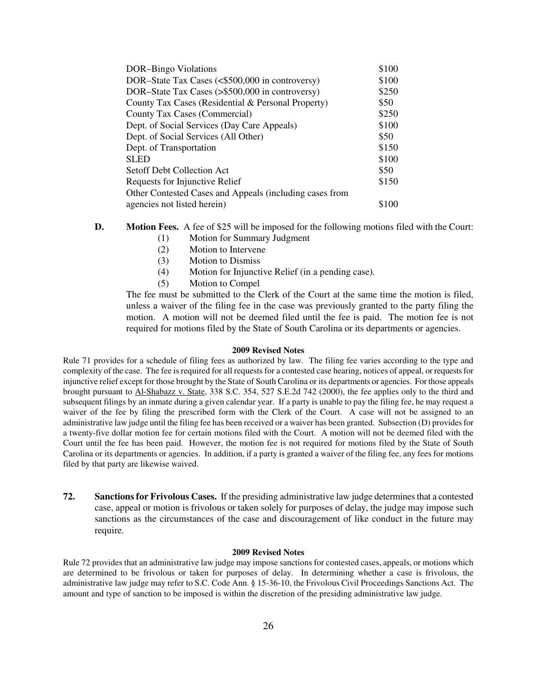| DOR-Bingo Violations                                    | \$100 |
|---------------------------------------------------------|-------|
| DOR-State Tax Cases (<\$500,000 in controversy)         | \$100 |
| DOR-State Tax Cases (>\$500,000 in controversy)         | \$250 |
| County Tax Cases (Residential & Personal Property)      | \$50  |
| County Tax Cases (Commercial)                           | \$250 |
| Dept. of Social Services (Day Care Appeals)             | \$100 |
| Dept. of Social Services (All Other)                    | \$50  |
| Dept. of Transportation                                 | \$150 |
| <b>SLED</b>                                             | \$100 |
| Setoff Debt Collection Act                              | \$50  |
| Requests for Injunctive Relief                          | \$150 |
| Other Contested Cases and Appeals (including cases from |       |
| agencies not listed herein)                             | \$100 |
|                                                         |       |

- **D.** Motion Fees. A fee of \$25 will be imposed for the following motions filed with the Court:
	- (1) Motion for Summary Judgment
	- (2) Motion to Intervene
	- (3) Motion to Dismiss
	- (4) Motion for Injunctive Relief (in a pending case).
	- (5) Motion to Compel

The fee must be submitted to the Clerk of the Court at the same time the motion is filed, unless a waiver of the filing fee in the case was previously granted to the party filing the motion. A motion will not be deemed filed until the fee is paid. The motion fee is not required for motions filed by the State of South Carolina or its departments or agencies.

#### **2009 Revised Notes**

Rule 71 provides for a schedule of filing fees as authorized by law. The filing fee varies according to the type and complexity of the case. The fee is required for all requests for a contested case hearing, notices of appeal, or requests for injunctive relief except for those brought by the State of South Carolina or its departments or agencies. For those appeals brought pursuant to Al-Shabazz v. State, 338 S.C. 354, 527 S.E.2d 742 (2000), the fee applies only to the third and subsequent filings by an inmate during a given calendar year. If a party is unable to pay the filing fee, he may request a waiver of the fee by filing the prescribed form with the Clerk of the Court. A case will not be assigned to an administrative law judge until the filing fee has been received or a waiver has been granted. Subsection (D) provides for a twenty-five dollar motion fee for certain motions filed with the Court. A motion will not be deemed filed with the Court until the fee has been paid. However, the motion fee is not required for motions filed by the State of South Carolina or its departments or agencies. In addition, if a party is granted a waiver of the filing fee, any fees for motions filed by that party are likewise waived.

**72. Sanctions for Frivolous Cases.** If the presiding administrative law judge determines that a contested case, appeal or motion is frivolous or taken solely for purposes of delay, the judge may impose such sanctions as the circumstances of the case and discouragement of like conduct in the future may require.

#### **2009 Revised Notes**

Rule 72 provides that an administrative law judge may impose sanctions for contested cases, appeals, or motions which are determined to be frivolous or taken for purposes of delay. In determining whether a case is frivolous, the administrative law judge may refer to S.C. Code Ann. § 15-36-10, the Frivolous Civil Proceedings Sanctions Act. The amount and type of sanction to be imposed is within the discretion of the presiding administrative law judge.